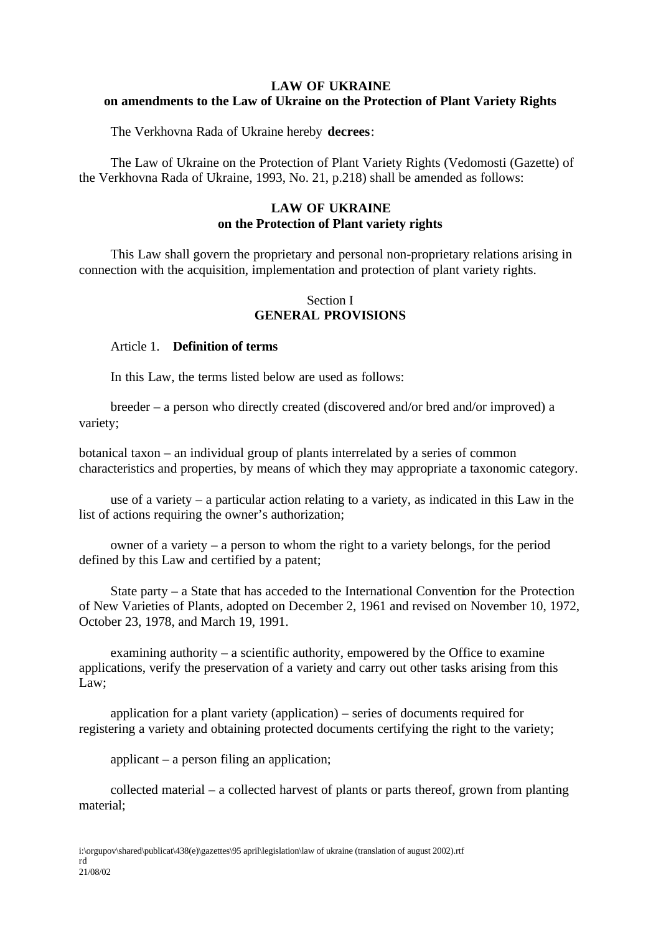# **LAW OF UKRAINE on amendments to the Law of Ukraine on the Protection of Plant Variety Rights**

The Verkhovna Rada of Ukraine hereby **decrees**:

The Law of Ukraine on the Protection of Plant Variety Rights (Vedomosti (Gazette) of the Verkhovna Rada of Ukraine, 1993, No. 21, p.218) shall be amended as follows:

# **LAW OF UKRAINE on the Protection of Plant variety rights**

This Law shall govern the proprietary and personal non-proprietary relations arising in connection with the acquisition, implementation and protection of plant variety rights.

### Section I **GENERAL PROVISIONS**

### Article 1. **Definition of terms**

In this Law, the terms listed below are used as follows:

breeder – a person who directly created (discovered and/or bred and/or improved) a variety;

botanical taxon – an individual group of plants interrelated by a series of common characteristics and properties, by means of which they may appropriate a taxonomic category.

use of a variety – a particular action relating to a variety, as indicated in this Law in the list of actions requiring the owner's authorization;

owner of a variety – a person to whom the right to a variety belongs, for the period defined by this Law and certified by a patent;

State party – a State that has acceded to the International Convention for the Protection of New Varieties of Plants, adopted on December 2, 1961 and revised on November 10, 1972, October 23, 1978, and March 19, 1991.

examining authority – a scientific authority, empowered by the Office to examine applications, verify the preservation of a variety and carry out other tasks arising from this Law;

application for a plant variety (application) – series of documents required for registering a variety and obtaining protected documents certifying the right to the variety;

applicant – a person filing an application;

collected material – a collected harvest of plants or parts thereof, grown from planting material;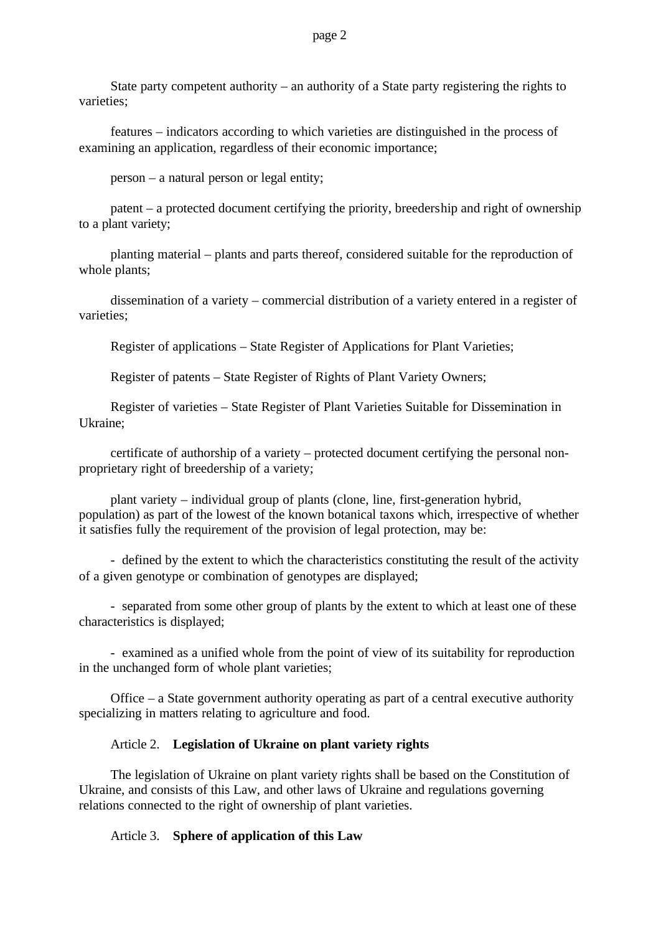State party competent authority – an authority of a State party registering the rights to varieties;

features – indicators according to which varieties are distinguished in the process of examining an application, regardless of their economic importance;

person – a natural person or legal entity;

patent – a protected document certifying the priority, breedership and right of ownership to a plant variety;

planting material – plants and parts thereof, considered suitable for the reproduction of whole plants;

dissemination of a variety – commercial distribution of a variety entered in a register of varieties;

Register of applications – State Register of Applications for Plant Varieties;

Register of patents – State Register of Rights of Plant Variety Owners;

Register of varieties – State Register of Plant Varieties Suitable for Dissemination in Ukraine;

certificate of authorship of a variety – protected document certifying the personal nonproprietary right of breedership of a variety;

plant variety – individual group of plants (clone, line, first-generation hybrid, population) as part of the lowest of the known botanical taxons which, irrespective of whether it satisfies fully the requirement of the provision of legal protection, may be:

- defined by the extent to which the characteristics constituting the result of the activity of a given genotype or combination of genotypes are displayed;

- separated from some other group of plants by the extent to which at least one of these characteristics is displayed;

- examined as a unified whole from the point of view of its suitability for reproduction in the unchanged form of whole plant varieties;

Office – a State government authority operating as part of a central executive authority specializing in matters relating to agriculture and food.

### Article 2. **Legislation of Ukraine on plant variety rights**

The legislation of Ukraine on plant variety rights shall be based on the Constitution of Ukraine, and consists of this Law, and other laws of Ukraine and regulations governing relations connected to the right of ownership of plant varieties.

### Article 3. **Sphere of application of this Law**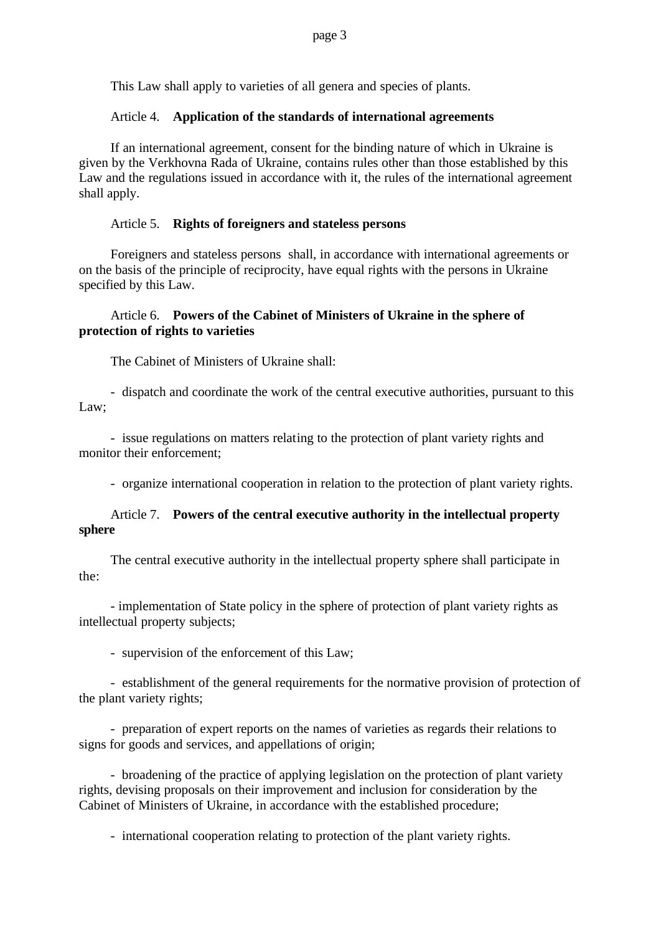This Law shall apply to varieties of all genera and species of plants.

### Article 4. **Application of the standards of international agreements**

If an international agreement, consent for the binding nature of which in Ukraine is given by the Verkhovna Rada of Ukraine, contains rules other than those established by this Law and the regulations issued in accordance with it, the rules of the international agreement shall apply.

### Article 5. **Rights of foreigners and stateless persons**

Foreigners and stateless persons shall, in accordance with international agreements or on the basis of the principle of reciprocity, have equal rights with the persons in Ukraine specified by this Law.

### Article 6. **Powers of the Cabinet of Ministers of Ukraine in the sphere of protection of rights to varieties**

The Cabinet of Ministers of Ukraine shall:

- dispatch and coordinate the work of the central executive authorities, pursuant to this Law;

- issue regulations on matters relating to the protection of plant variety rights and monitor their enforcement;

- organize international cooperation in relation to the protection of plant variety rights.

# Article 7. **Powers of the central executive authority in the intellectual property sphere**

The central executive authority in the intellectual property sphere shall participate in the:

- implementation of State policy in the sphere of protection of plant variety rights as intellectual property subjects;

- supervision of the enforcement of this Law;

- establishment of the general requirements for the normative provision of protection of the plant variety rights;

- preparation of expert reports on the names of varieties as regards their relations to signs for goods and services, and appellations of origin;

- broadening of the practice of applying legislation on the protection of plant variety rights, devising proposals on their improvement and inclusion for consideration by the Cabinet of Ministers of Ukraine, in accordance with the established procedure;

- international cooperation relating to protection of the plant variety rights.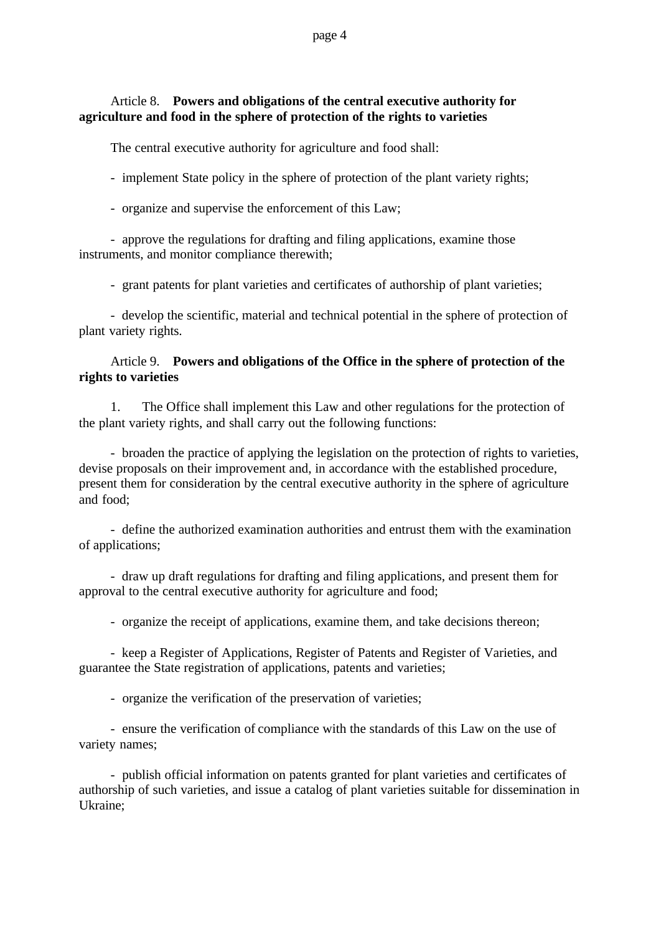# Article 8. **Powers and obligations of the central executive authority for agriculture and food in the sphere of protection of the rights to varieties**

The central executive authority for agriculture and food shall:

- implement State policy in the sphere of protection of the plant variety rights;

- organize and supervise the enforcement of this Law;

- approve the regulations for drafting and filing applications, examine those instruments, and monitor compliance therewith;

- grant patents for plant varieties and certificates of authorship of plant varieties;

- develop the scientific, material and technical potential in the sphere of protection of plant variety rights.

# Article 9. **Powers and obligations of the Office in the sphere of protection of the rights to varieties**

1. The Office shall implement this Law and other regulations for the protection of the plant variety rights, and shall carry out the following functions:

- broaden the practice of applying the legislation on the protection of rights to varieties, devise proposals on their improvement and, in accordance with the established procedure, present them for consideration by the central executive authority in the sphere of agriculture and food;

- define the authorized examination authorities and entrust them with the examination of applications;

- draw up draft regulations for drafting and filing applications, and present them for approval to the central executive authority for agriculture and food;

- organize the receipt of applications, examine them, and take decisions thereon;

- keep a Register of Applications, Register of Patents and Register of Varieties, and guarantee the State registration of applications, patents and varieties;

- organize the verification of the preservation of varieties;

- ensure the verification of compliance with the standards of this Law on the use of variety names;

- publish official information on patents granted for plant varieties and certificates of authorship of such varieties, and issue a catalog of plant varieties suitable for dissemination in Ukraine;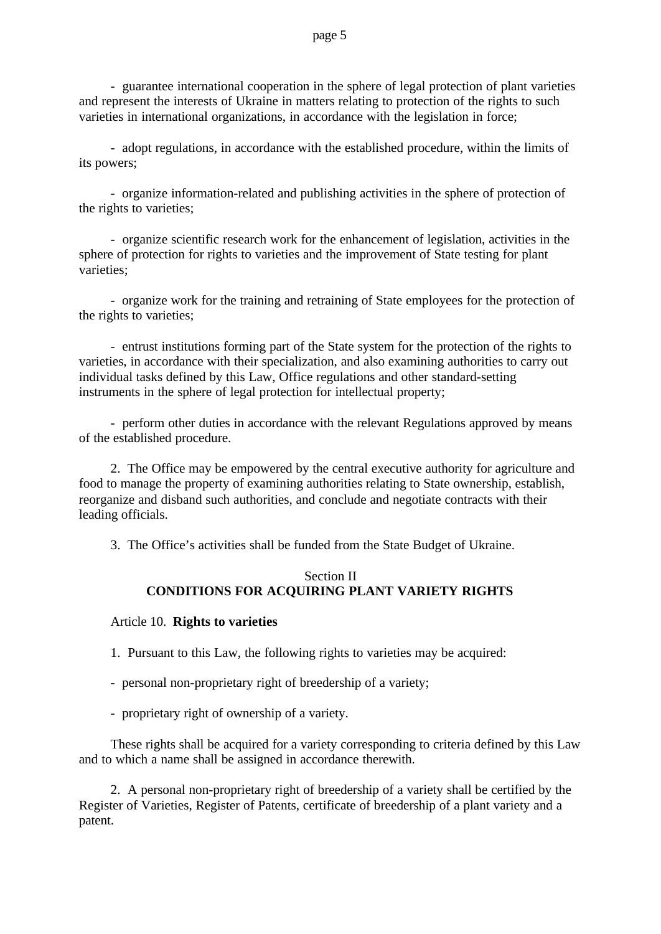- guarantee international cooperation in the sphere of legal protection of plant varieties and represent the interests of Ukraine in matters relating to protection of the rights to such varieties in international organizations, in accordance with the legislation in force;

- adopt regulations, in accordance with the established procedure, within the limits of its powers;

- organize information-related and publishing activities in the sphere of protection of the rights to varieties;

- organize scientific research work for the enhancement of legislation, activities in the sphere of protection for rights to varieties and the improvement of State testing for plant varieties;

- organize work for the training and retraining of State employees for the protection of the rights to varieties;

- entrust institutions forming part of the State system for the protection of the rights to varieties, in accordance with their specialization, and also examining authorities to carry out individual tasks defined by this Law, Office regulations and other standard-setting instruments in the sphere of legal protection for intellectual property;

- perform other duties in accordance with the relevant Regulations approved by means of the established procedure.

2. The Office may be empowered by the central executive authority for agriculture and food to manage the property of examining authorities relating to State ownership, establish, reorganize and disband such authorities, and conclude and negotiate contracts with their leading officials.

3. The Office's activities shall be funded from the State Budget of Ukraine.

### Section II **CONDITIONS FOR ACQUIRING PLANT VARIETY RIGHTS**

### Article 10. **Rights to varieties**

1. Pursuant to this Law, the following rights to varieties may be acquired:

- personal non-proprietary right of breedership of a variety;
- proprietary right of ownership of a variety.

These rights shall be acquired for a variety corresponding to criteria defined by this Law and to which a name shall be assigned in accordance therewith.

2. A personal non-proprietary right of breedership of a variety shall be certified by the Register of Varieties, Register of Patents, certificate of breedership of a plant variety and a patent.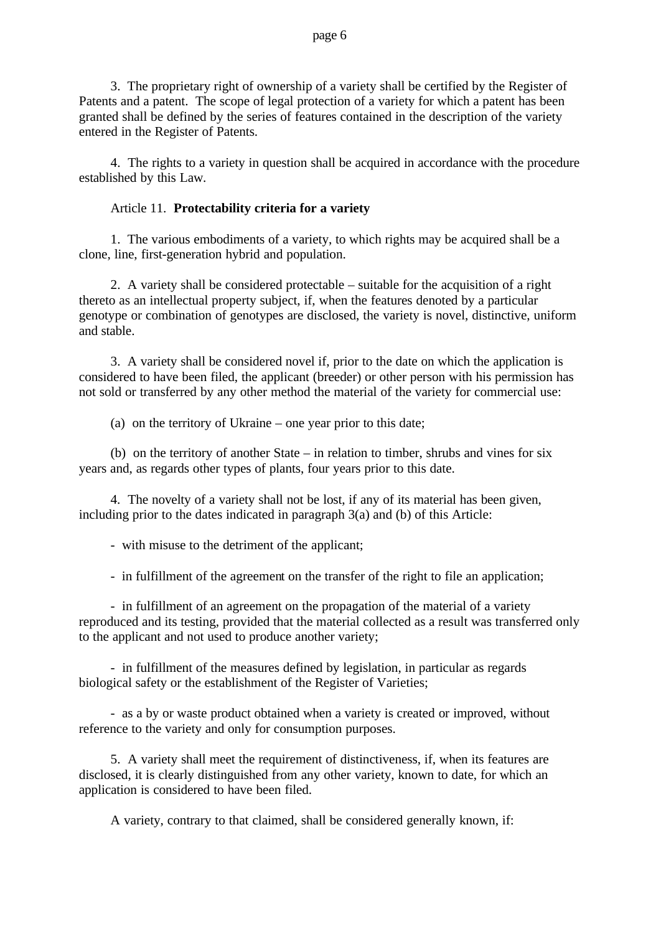3. The proprietary right of ownership of a variety shall be certified by the Register of Patents and a patent. The scope of legal protection of a variety for which a patent has been granted shall be defined by the series of features contained in the description of the variety entered in the Register of Patents.

4. The rights to a variety in question shall be acquired in accordance with the procedure established by this Law.

### Article 11. **Protectability criteria for a variety**

1. The various embodiments of a variety, to which rights may be acquired shall be a clone, line, first-generation hybrid and population.

2. A variety shall be considered protectable – suitable for the acquisition of a right thereto as an intellectual property subject, if, when the features denoted by a particular genotype or combination of genotypes are disclosed, the variety is novel, distinctive, uniform and stable.

3. A variety shall be considered novel if, prior to the date on which the application is considered to have been filed, the applicant (breeder) or other person with his permission has not sold or transferred by any other method the material of the variety for commercial use:

(a) on the territory of Ukraine – one year prior to this date;

(b) on the territory of another State – in relation to timber, shrubs and vines for six years and, as regards other types of plants, four years prior to this date.

4. The novelty of a variety shall not be lost, if any of its material has been given, including prior to the dates indicated in paragraph 3(a) and (b) of this Article:

- with misuse to the detriment of the applicant;

- in fulfillment of the agreement on the transfer of the right to file an application;

- in fulfillment of an agreement on the propagation of the material of a variety reproduced and its testing, provided that the material collected as a result was transferred only to the applicant and not used to produce another variety;

- in fulfillment of the measures defined by legislation, in particular as regards biological safety or the establishment of the Register of Varieties;

- as a by or waste product obtained when a variety is created or improved, without reference to the variety and only for consumption purposes.

5. A variety shall meet the requirement of distinctiveness, if, when its features are disclosed, it is clearly distinguished from any other variety, known to date, for which an application is considered to have been filed.

A variety, contrary to that claimed, shall be considered generally known, if: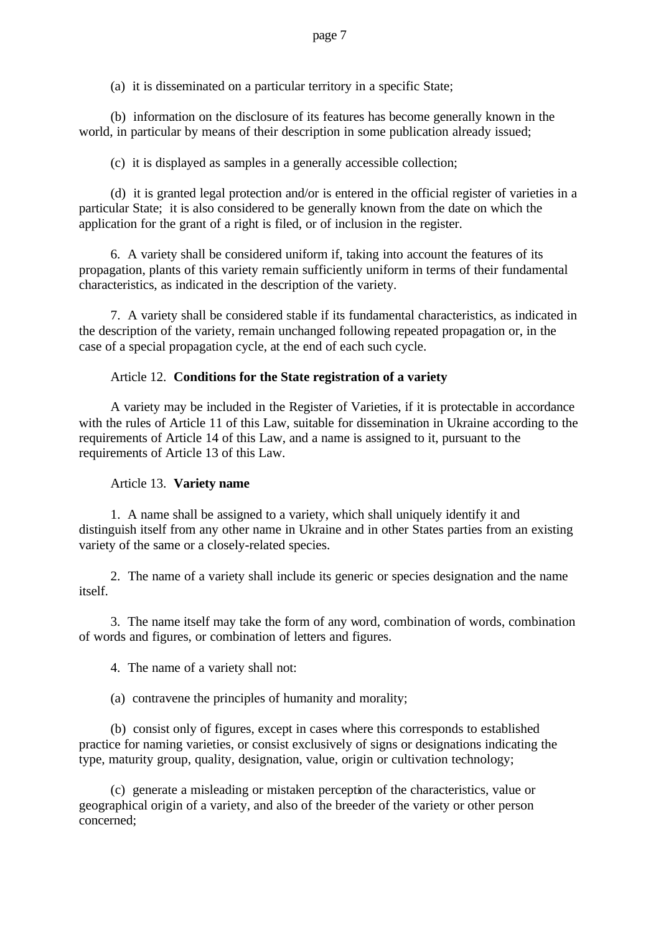(a) it is disseminated on a particular territory in a specific State;

(b) information on the disclosure of its features has become generally known in the world, in particular by means of their description in some publication already issued;

(c) it is displayed as samples in a generally accessible collection;

(d) it is granted legal protection and/or is entered in the official register of varieties in a particular State; it is also considered to be generally known from the date on which the application for the grant of a right is filed, or of inclusion in the register.

6. A variety shall be considered uniform if, taking into account the features of its propagation, plants of this variety remain sufficiently uniform in terms of their fundamental characteristics, as indicated in the description of the variety.

7. A variety shall be considered stable if its fundamental characteristics, as indicated in the description of the variety, remain unchanged following repeated propagation or, in the case of a special propagation cycle, at the end of each such cycle.

# Article 12. **Conditions for the State registration of a variety**

A variety may be included in the Register of Varieties, if it is protectable in accordance with the rules of Article 11 of this Law, suitable for dissemination in Ukraine according to the requirements of Article 14 of this Law, and a name is assigned to it, pursuant to the requirements of Article 13 of this Law.

### Article 13. **Variety name**

1. A name shall be assigned to a variety, which shall uniquely identify it and distinguish itself from any other name in Ukraine and in other States parties from an existing variety of the same or a closely-related species.

2. The name of a variety shall include its generic or species designation and the name itself.

3. The name itself may take the form of any word, combination of words, combination of words and figures, or combination of letters and figures.

4. The name of a variety shall not:

(a) contravene the principles of humanity and morality;

(b) consist only of figures, except in cases where this corresponds to established practice for naming varieties, or consist exclusively of signs or designations indicating the type, maturity group, quality, designation, value, origin or cultivation technology;

(c) generate a misleading or mistaken perception of the characteristics, value or geographical origin of a variety, and also of the breeder of the variety or other person concerned;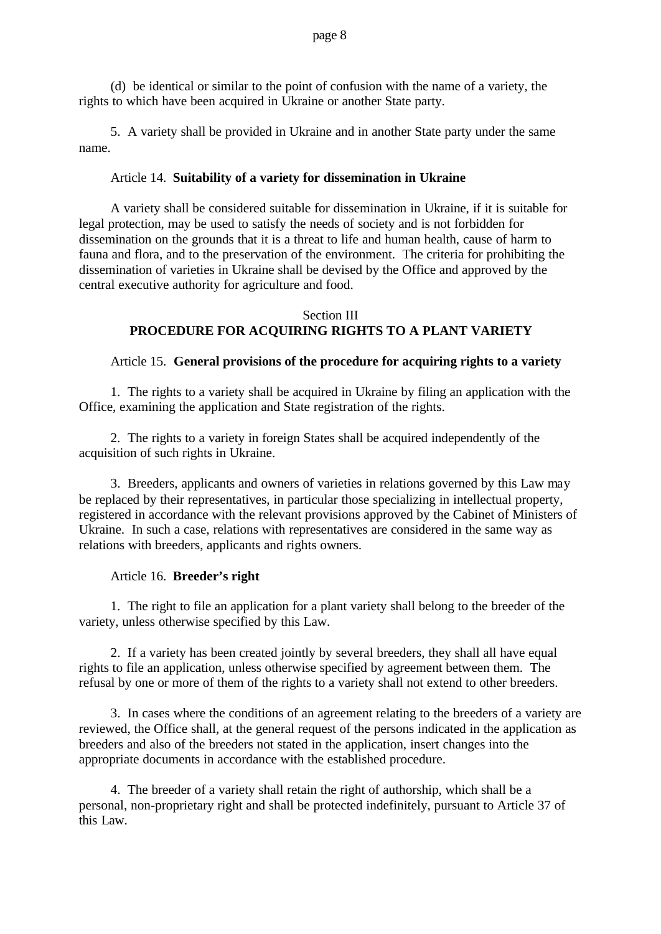(d) be identical or similar to the point of confusion with the name of a variety, the rights to which have been acquired in Ukraine or another State party.

5. A variety shall be provided in Ukraine and in another State party under the same name.

### Article 14. **Suitability of a variety for dissemination in Ukraine**

A variety shall be considered suitable for dissemination in Ukraine, if it is suitable for legal protection, may be used to satisfy the needs of society and is not forbidden for dissemination on the grounds that it is a threat to life and human health, cause of harm to fauna and flora, and to the preservation of the environment. The criteria for prohibiting the dissemination of varieties in Ukraine shall be devised by the Office and approved by the central executive authority for agriculture and food.

### Section III **PROCEDURE FOR ACQUIRING RIGHTS TO A PLANT VARIETY**

# Article 15. **General provisions of the procedure for acquiring rights to a variety**

1. The rights to a variety shall be acquired in Ukraine by filing an application with the Office, examining the application and State registration of the rights.

2. The rights to a variety in foreign States shall be acquired independently of the acquisition of such rights in Ukraine.

3. Breeders, applicants and owners of varieties in relations governed by this Law may be replaced by their representatives, in particular those specializing in intellectual property, registered in accordance with the relevant provisions approved by the Cabinet of Ministers of Ukraine. In such a case, relations with representatives are considered in the same way as relations with breeders, applicants and rights owners.

### Article 16. **Breeder's right**

1. The right to file an application for a plant variety shall belong to the breeder of the variety, unless otherwise specified by this Law.

2. If a variety has been created jointly by several breeders, they shall all have equal rights to file an application, unless otherwise specified by agreement between them. The refusal by one or more of them of the rights to a variety shall not extend to other breeders.

3. In cases where the conditions of an agreement relating to the breeders of a variety are reviewed, the Office shall, at the general request of the persons indicated in the application as breeders and also of the breeders not stated in the application, insert changes into the appropriate documents in accordance with the established procedure.

4. The breeder of a variety shall retain the right of authorship, which shall be a personal, non-proprietary right and shall be protected indefinitely, pursuant to Article 37 of this Law.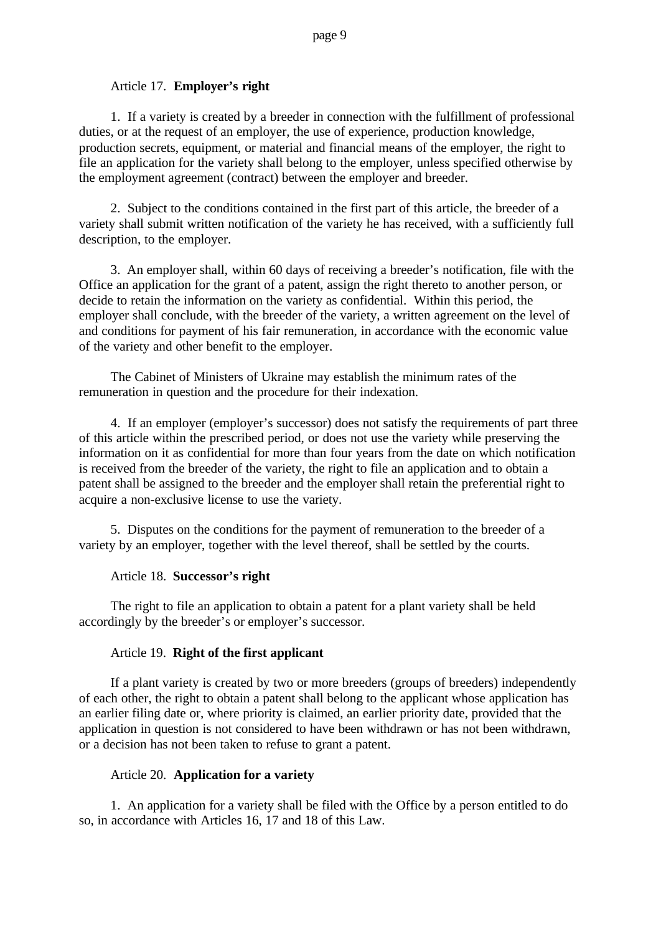### Article 17. **Employer's right**

1. If a variety is created by a breeder in connection with the fulfillment of professional duties, or at the request of an employer, the use of experience, production knowledge, production secrets, equipment, or material and financial means of the employer, the right to file an application for the variety shall belong to the employer, unless specified otherwise by the employment agreement (contract) between the employer and breeder.

2. Subject to the conditions contained in the first part of this article, the breeder of a variety shall submit written notification of the variety he has received, with a sufficiently full description, to the employer.

3. An employer shall, within 60 days of receiving a breeder's notification, file with the Office an application for the grant of a patent, assign the right thereto to another person, or decide to retain the information on the variety as confidential. Within this period, the employer shall conclude, with the breeder of the variety, a written agreement on the level of and conditions for payment of his fair remuneration, in accordance with the economic value of the variety and other benefit to the employer.

The Cabinet of Ministers of Ukraine may establish the minimum rates of the remuneration in question and the procedure for their indexation.

4. If an employer (employer's successor) does not satisfy the requirements of part three of this article within the prescribed period, or does not use the variety while preserving the information on it as confidential for more than four years from the date on which notification is received from the breeder of the variety, the right to file an application and to obtain a patent shall be assigned to the breeder and the employer shall retain the preferential right to acquire a non-exclusive license to use the variety.

5. Disputes on the conditions for the payment of remuneration to the breeder of a variety by an employer, together with the level thereof, shall be settled by the courts.

### Article 18. **Successor's right**

The right to file an application to obtain a patent for a plant variety shall be held accordingly by the breeder's or employer's successor.

### Article 19. **Right of the first applicant**

If a plant variety is created by two or more breeders (groups of breeders) independently of each other, the right to obtain a patent shall belong to the applicant whose application has an earlier filing date or, where priority is claimed, an earlier priority date, provided that the application in question is not considered to have been withdrawn or has not been withdrawn, or a decision has not been taken to refuse to grant a patent.

### Article 20. **Application for a variety**

1. An application for a variety shall be filed with the Office by a person entitled to do so, in accordance with Articles 16, 17 and 18 of this Law.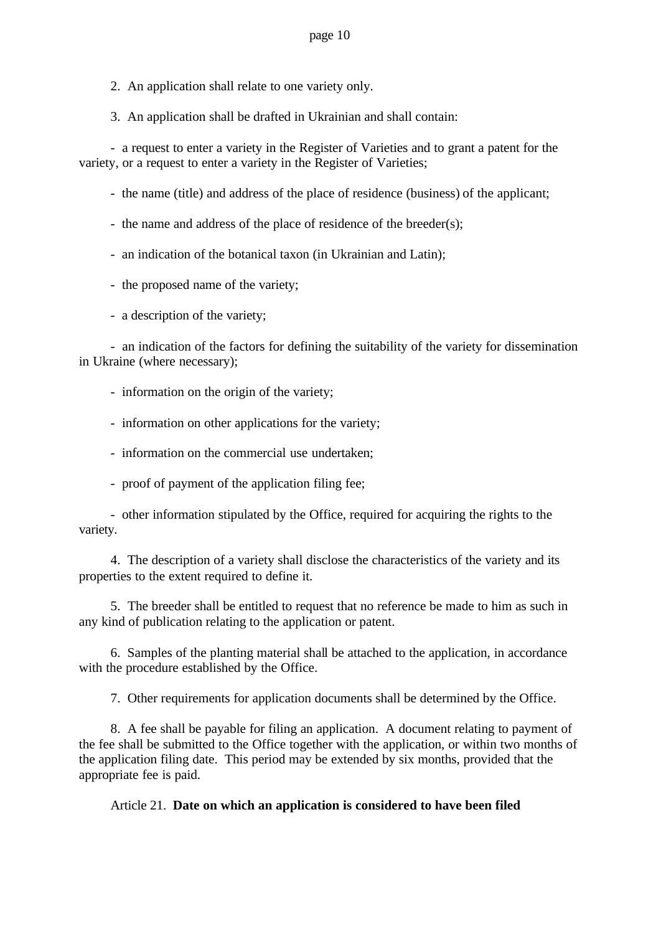2. An application shall relate to one variety only.

3. An application shall be drafted in Ukrainian and shall contain:

- a request to enter a variety in the Register of Varieties and to grant a patent for the variety, or a request to enter a variety in the Register of Varieties;

- the name (title) and address of the place of residence (business) of the applicant;
- the name and address of the place of residence of the breeder(s);
- an indication of the botanical taxon (in Ukrainian and Latin);
- the proposed name of the variety;
- a description of the variety;

- an indication of the factors for defining the suitability of the variety for dissemination in Ukraine (where necessary);

- information on the origin of the variety;
- information on other applications for the variety;
- information on the commercial use undertaken;
- proof of payment of the application filing fee;

- other information stipulated by the Office, required for acquiring the rights to the variety.

4. The description of a variety shall disclose the characteristics of the variety and its properties to the extent required to define it.

5. The breeder shall be entitled to request that no reference be made to him as such in any kind of publication relating to the application or patent.

6. Samples of the planting material shall be attached to the application, in accordance with the procedure established by the Office.

7. Other requirements for application documents shall be determined by the Office.

8. A fee shall be payable for filing an application. A document relating to payment of the fee shall be submitted to the Office together with the application, or within two months of the application filing date. This period may be extended by six months, provided that the appropriate fee is paid.

Article 21. **Date on which an application is considered to have been filed**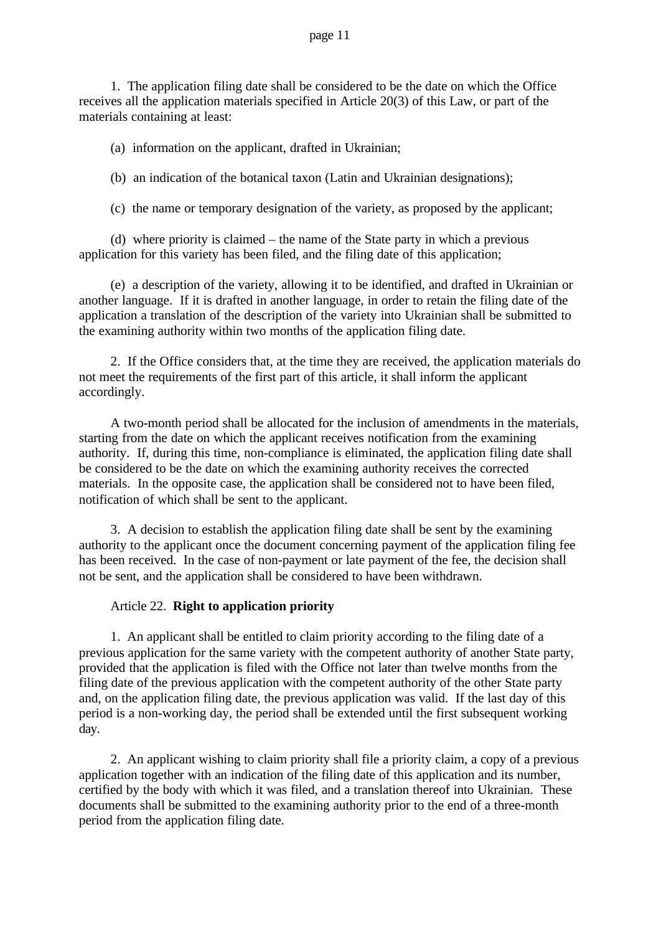### page 11

1. The application filing date shall be considered to be the date on which the Office receives all the application materials specified in Article 20(3) of this Law, or part of the materials containing at least:

(a) information on the applicant, drafted in Ukrainian;

(b) an indication of the botanical taxon (Latin and Ukrainian designations);

(c) the name or temporary designation of the variety, as proposed by the applicant;

(d) where priority is claimed – the name of the State party in which a previous application for this variety has been filed, and the filing date of this application;

(e) a description of the variety, allowing it to be identified, and drafted in Ukrainian or another language. If it is drafted in another language, in order to retain the filing date of the application a translation of the description of the variety into Ukrainian shall be submitted to the examining authority within two months of the application filing date.

2. If the Office considers that, at the time they are received, the application materials do not meet the requirements of the first part of this article, it shall inform the applicant accordingly.

A two-month period shall be allocated for the inclusion of amendments in the materials, starting from the date on which the applicant receives notification from the examining authority. If, during this time, non-compliance is eliminated, the application filing date shall be considered to be the date on which the examining authority receives the corrected materials. In the opposite case, the application shall be considered not to have been filed, notification of which shall be sent to the applicant.

3. A decision to establish the application filing date shall be sent by the examining authority to the applicant once the document concerning payment of the application filing fee has been received. In the case of non-payment or late payment of the fee, the decision shall not be sent, and the application shall be considered to have been withdrawn.

### Article 22. **Right to application priority**

1. An applicant shall be entitled to claim priority according to the filing date of a previous application for the same variety with the competent authority of another State party, provided that the application is filed with the Office not later than twelve months from the filing date of the previous application with the competent authority of the other State party and, on the application filing date, the previous application was valid. If the last day of this period is a non-working day, the period shall be extended until the first subsequent working day.

2. An applicant wishing to claim priority shall file a priority claim, a copy of a previous application together with an indication of the filing date of this application and its number, certified by the body with which it was filed, and a translation thereof into Ukrainian. These documents shall be submitted to the examining authority prior to the end of a three-month period from the application filing date.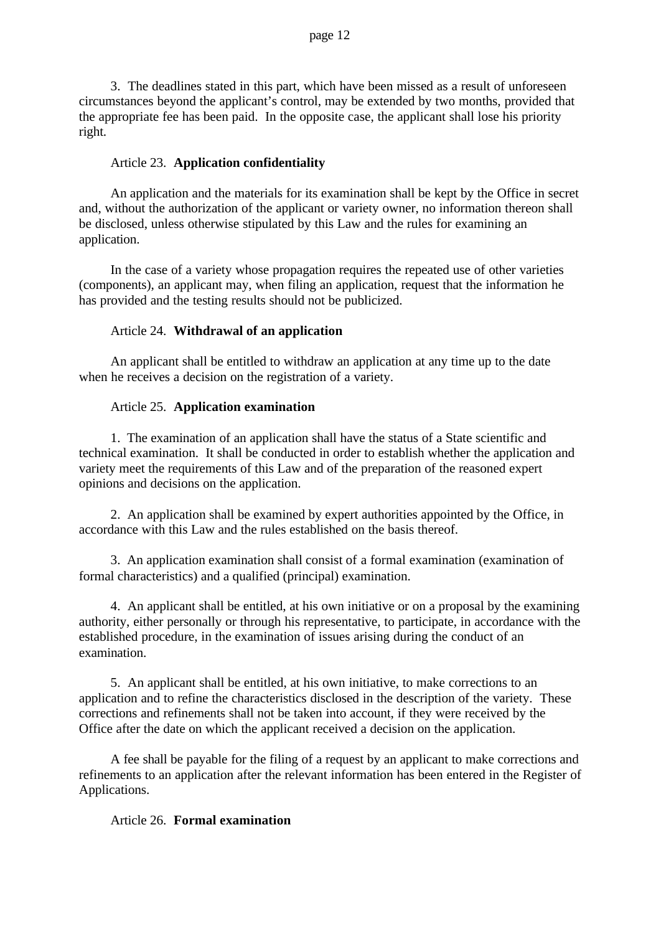3. The deadlines stated in this part, which have been missed as a result of unforeseen circumstances beyond the applicant's control, may be extended by two months, provided that the appropriate fee has been paid. In the opposite case, the applicant shall lose his priority right.

# Article 23. **Application confidentiality**

An application and the materials for its examination shall be kept by the Office in secret and, without the authorization of the applicant or variety owner, no information thereon shall be disclosed, unless otherwise stipulated by this Law and the rules for examining an application.

In the case of a variety whose propagation requires the repeated use of other varieties (components), an applicant may, when filing an application, request that the information he has provided and the testing results should not be publicized.

# Article 24. **Withdrawal of an application**

An applicant shall be entitled to withdraw an application at any time up to the date when he receives a decision on the registration of a variety.

# Article 25. **Application examination**

1. The examination of an application shall have the status of a State scientific and technical examination. It shall be conducted in order to establish whether the application and variety meet the requirements of this Law and of the preparation of the reasoned expert opinions and decisions on the application.

2. An application shall be examined by expert authorities appointed by the Office, in accordance with this Law and the rules established on the basis thereof.

3. An application examination shall consist of a formal examination (examination of formal characteristics) and a qualified (principal) examination.

4. An applicant shall be entitled, at his own initiative or on a proposal by the examining authority, either personally or through his representative, to participate, in accordance with the established procedure, in the examination of issues arising during the conduct of an examination.

5. An applicant shall be entitled, at his own initiative, to make corrections to an application and to refine the characteristics disclosed in the description of the variety. These corrections and refinements shall not be taken into account, if they were received by the Office after the date on which the applicant received a decision on the application.

A fee shall be payable for the filing of a request by an applicant to make corrections and refinements to an application after the relevant information has been entered in the Register of Applications.

### Article 26. **Formal examination**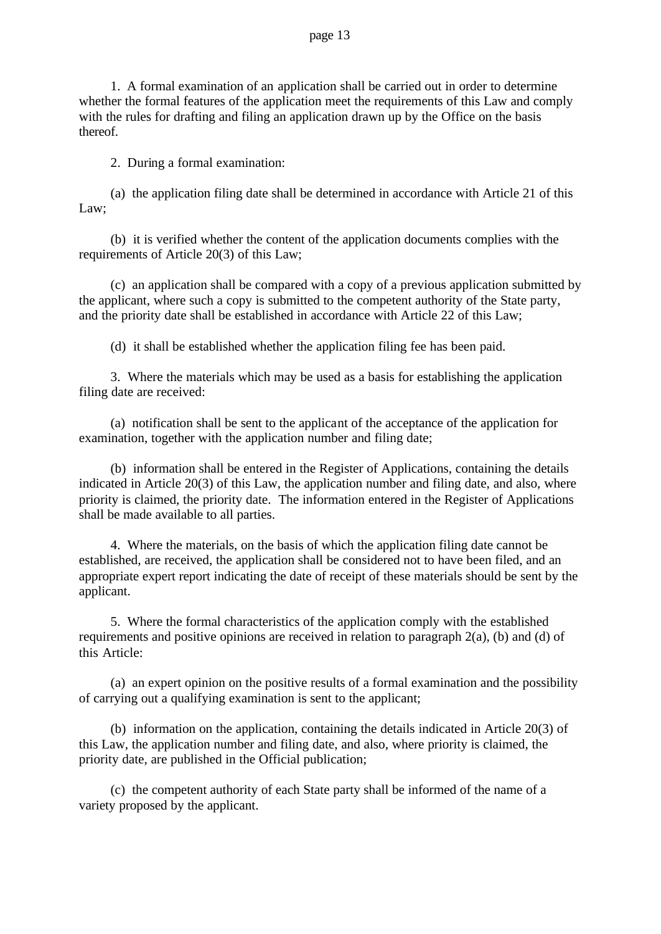### page 13

1. A formal examination of an application shall be carried out in order to determine whether the formal features of the application meet the requirements of this Law and comply with the rules for drafting and filing an application drawn up by the Office on the basis thereof.

2. During a formal examination:

(a) the application filing date shall be determined in accordance with Article 21 of this Law;

(b) it is verified whether the content of the application documents complies with the requirements of Article 20(3) of this Law;

(c) an application shall be compared with a copy of a previous application submitted by the applicant, where such a copy is submitted to the competent authority of the State party, and the priority date shall be established in accordance with Article 22 of this Law;

(d) it shall be established whether the application filing fee has been paid.

3. Where the materials which may be used as a basis for establishing the application filing date are received:

(a) notification shall be sent to the applicant of the acceptance of the application for examination, together with the application number and filing date;

(b) information shall be entered in the Register of Applications, containing the details indicated in Article 20(3) of this Law, the application number and filing date, and also, where priority is claimed, the priority date. The information entered in the Register of Applications shall be made available to all parties.

4. Where the materials, on the basis of which the application filing date cannot be established, are received, the application shall be considered not to have been filed, and an appropriate expert report indicating the date of receipt of these materials should be sent by the applicant.

5. Where the formal characteristics of the application comply with the established requirements and positive opinions are received in relation to paragraph  $2(a)$ , (b) and (d) of this Article:

(a) an expert opinion on the positive results of a formal examination and the possibility of carrying out a qualifying examination is sent to the applicant;

(b) information on the application, containing the details indicated in Article 20(3) of this Law, the application number and filing date, and also, where priority is claimed, the priority date, are published in the Official publication;

(c) the competent authority of each State party shall be informed of the name of a variety proposed by the applicant.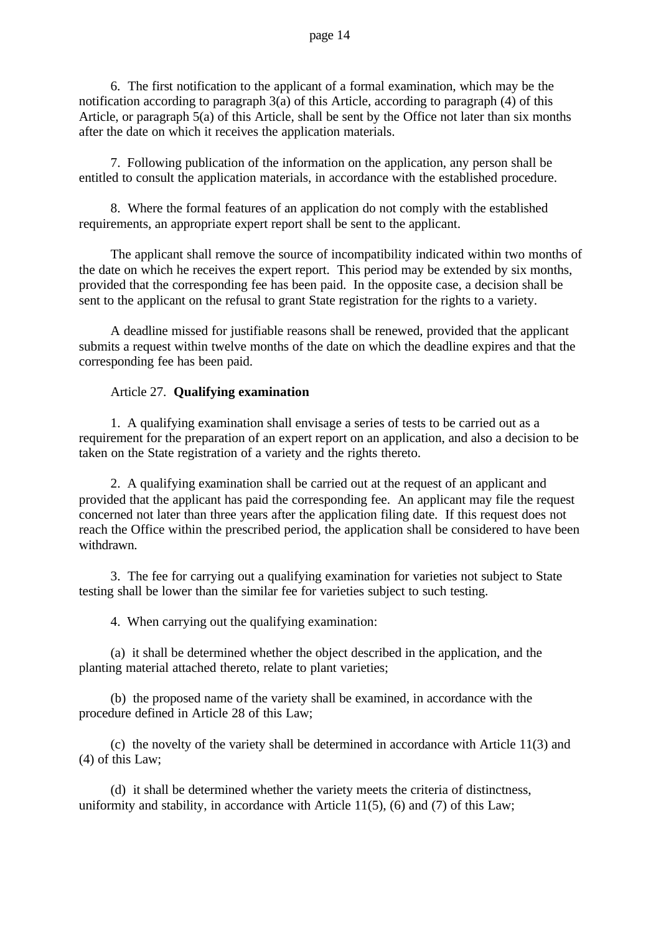6. The first notification to the applicant of a formal examination, which may be the notification according to paragraph 3(a) of this Article, according to paragraph (4) of this Article, or paragraph 5(a) of this Article, shall be sent by the Office not later than six months after the date on which it receives the application materials.

7. Following publication of the information on the application, any person shall be entitled to consult the application materials, in accordance with the established procedure.

8. Where the formal features of an application do not comply with the established requirements, an appropriate expert report shall be sent to the applicant.

The applicant shall remove the source of incompatibility indicated within two months of the date on which he receives the expert report. This period may be extended by six months, provided that the corresponding fee has been paid. In the opposite case, a decision shall be sent to the applicant on the refusal to grant State registration for the rights to a variety.

A deadline missed for justifiable reasons shall be renewed, provided that the applicant submits a request within twelve months of the date on which the deadline expires and that the corresponding fee has been paid.

### Article 27. **Qualifying examination**

1. A qualifying examination shall envisage a series of tests to be carried out as a requirement for the preparation of an expert report on an application, and also a decision to be taken on the State registration of a variety and the rights thereto.

2. A qualifying examination shall be carried out at the request of an applicant and provided that the applicant has paid the corresponding fee. An applicant may file the request concerned not later than three years after the application filing date. If this request does not reach the Office within the prescribed period, the application shall be considered to have been withdrawn.

3. The fee for carrying out a qualifying examination for varieties not subject to State testing shall be lower than the similar fee for varieties subject to such testing.

4. When carrying out the qualifying examination:

(a) it shall be determined whether the object described in the application, and the planting material attached thereto, relate to plant varieties;

(b) the proposed name of the variety shall be examined, in accordance with the procedure defined in Article 28 of this Law;

(c) the novelty of the variety shall be determined in accordance with Article 11(3) and (4) of this Law;

(d) it shall be determined whether the variety meets the criteria of distinctness, uniformity and stability, in accordance with Article 11(5), (6) and (7) of this Law;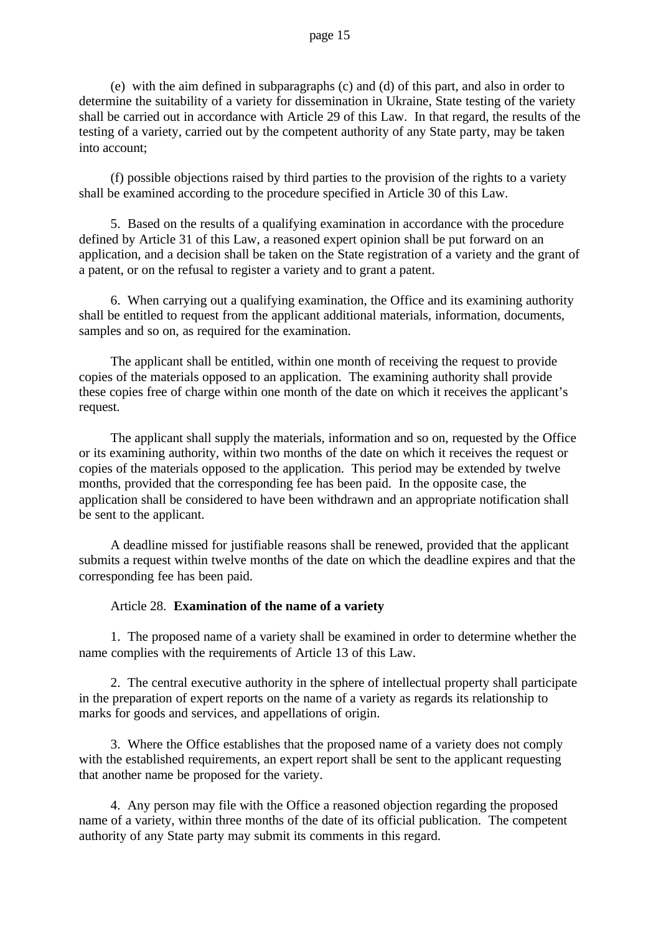### page 15

(e) with the aim defined in subparagraphs (c) and (d) of this part, and also in order to determine the suitability of a variety for dissemination in Ukraine, State testing of the variety shall be carried out in accordance with Article 29 of this Law. In that regard, the results of the testing of a variety, carried out by the competent authority of any State party, may be taken into account;

(f) possible objections raised by third parties to the provision of the rights to a variety shall be examined according to the procedure specified in Article 30 of this Law.

5. Based on the results of a qualifying examination in accordance with the procedure defined by Article 31 of this Law, a reasoned expert opinion shall be put forward on an application, and a decision shall be taken on the State registration of a variety and the grant of a patent, or on the refusal to register a variety and to grant a patent.

6. When carrying out a qualifying examination, the Office and its examining authority shall be entitled to request from the applicant additional materials, information, documents, samples and so on, as required for the examination.

The applicant shall be entitled, within one month of receiving the request to provide copies of the materials opposed to an application. The examining authority shall provide these copies free of charge within one month of the date on which it receives the applicant's request.

The applicant shall supply the materials, information and so on, requested by the Office or its examining authority, within two months of the date on which it receives the request or copies of the materials opposed to the application. This period may be extended by twelve months, provided that the corresponding fee has been paid. In the opposite case, the application shall be considered to have been withdrawn and an appropriate notification shall be sent to the applicant.

A deadline missed for justifiable reasons shall be renewed, provided that the applicant submits a request within twelve months of the date on which the deadline expires and that the corresponding fee has been paid.

### Article 28. **Examination of the name of a variety**

1. The proposed name of a variety shall be examined in order to determine whether the name complies with the requirements of Article 13 of this Law.

2. The central executive authority in the sphere of intellectual property shall participate in the preparation of expert reports on the name of a variety as regards its relationship to marks for goods and services, and appellations of origin.

3. Where the Office establishes that the proposed name of a variety does not comply with the established requirements, an expert report shall be sent to the applicant requesting that another name be proposed for the variety.

4. Any person may file with the Office a reasoned objection regarding the proposed name of a variety, within three months of the date of its official publication. The competent authority of any State party may submit its comments in this regard.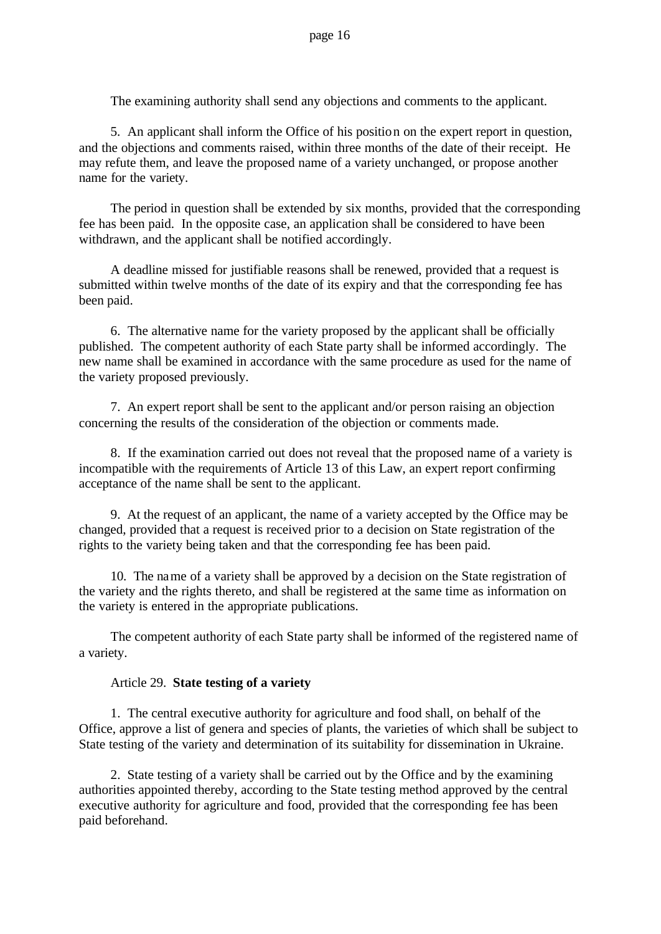The examining authority shall send any objections and comments to the applicant.

5. An applicant shall inform the Office of his position on the expert report in question, and the objections and comments raised, within three months of the date of their receipt. He may refute them, and leave the proposed name of a variety unchanged, or propose another name for the variety.

The period in question shall be extended by six months, provided that the corresponding fee has been paid. In the opposite case, an application shall be considered to have been withdrawn, and the applicant shall be notified accordingly.

A deadline missed for justifiable reasons shall be renewed, provided that a request is submitted within twelve months of the date of its expiry and that the corresponding fee has been paid.

6. The alternative name for the variety proposed by the applicant shall be officially published. The competent authority of each State party shall be informed accordingly. The new name shall be examined in accordance with the same procedure as used for the name of the variety proposed previously.

7. An expert report shall be sent to the applicant and/or person raising an objection concerning the results of the consideration of the objection or comments made.

8. If the examination carried out does not reveal that the proposed name of a variety is incompatible with the requirements of Article 13 of this Law, an expert report confirming acceptance of the name shall be sent to the applicant.

9. At the request of an applicant, the name of a variety accepted by the Office may be changed, provided that a request is received prior to a decision on State registration of the rights to the variety being taken and that the corresponding fee has been paid.

10. The name of a variety shall be approved by a decision on the State registration of the variety and the rights thereto, and shall be registered at the same time as information on the variety is entered in the appropriate publications.

The competent authority of each State party shall be informed of the registered name of a variety.

### Article 29. **State testing of a variety**

1. The central executive authority for agriculture and food shall, on behalf of the Office, approve a list of genera and species of plants, the varieties of which shall be subject to State testing of the variety and determination of its suitability for dissemination in Ukraine.

2. State testing of a variety shall be carried out by the Office and by the examining authorities appointed thereby, according to the State testing method approved by the central executive authority for agriculture and food, provided that the corresponding fee has been paid beforehand.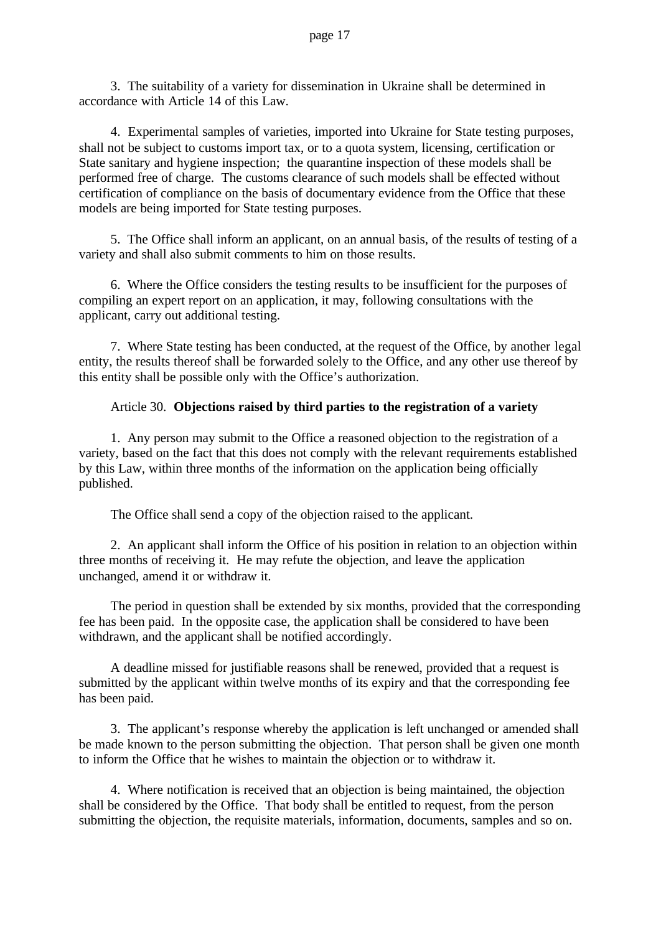3. The suitability of a variety for dissemination in Ukraine shall be determined in accordance with Article 14 of this Law.

4. Experimental samples of varieties, imported into Ukraine for State testing purposes, shall not be subject to customs import tax, or to a quota system, licensing, certification or State sanitary and hygiene inspection; the quarantine inspection of these models shall be performed free of charge. The customs clearance of such models shall be effected without certification of compliance on the basis of documentary evidence from the Office that these models are being imported for State testing purposes.

5. The Office shall inform an applicant, on an annual basis, of the results of testing of a variety and shall also submit comments to him on those results.

6. Where the Office considers the testing results to be insufficient for the purposes of compiling an expert report on an application, it may, following consultations with the applicant, carry out additional testing.

7. Where State testing has been conducted, at the request of the Office, by another legal entity, the results thereof shall be forwarded solely to the Office, and any other use thereof by this entity shall be possible only with the Office's authorization.

# Article 30. **Objections raised by third parties to the registration of a variety**

1. Any person may submit to the Office a reasoned objection to the registration of a variety, based on the fact that this does not comply with the relevant requirements established by this Law, within three months of the information on the application being officially published.

The Office shall send a copy of the objection raised to the applicant.

2. An applicant shall inform the Office of his position in relation to an objection within three months of receiving it. He may refute the objection, and leave the application unchanged, amend it or withdraw it.

The period in question shall be extended by six months, provided that the corresponding fee has been paid. In the opposite case, the application shall be considered to have been withdrawn, and the applicant shall be notified accordingly.

A deadline missed for justifiable reasons shall be renewed, provided that a request is submitted by the applicant within twelve months of its expiry and that the corresponding fee has been paid.

3. The applicant's response whereby the application is left unchanged or amended shall be made known to the person submitting the objection. That person shall be given one month to inform the Office that he wishes to maintain the objection or to withdraw it.

4. Where notification is received that an objection is being maintained, the objection shall be considered by the Office. That body shall be entitled to request, from the person submitting the objection, the requisite materials, information, documents, samples and so on.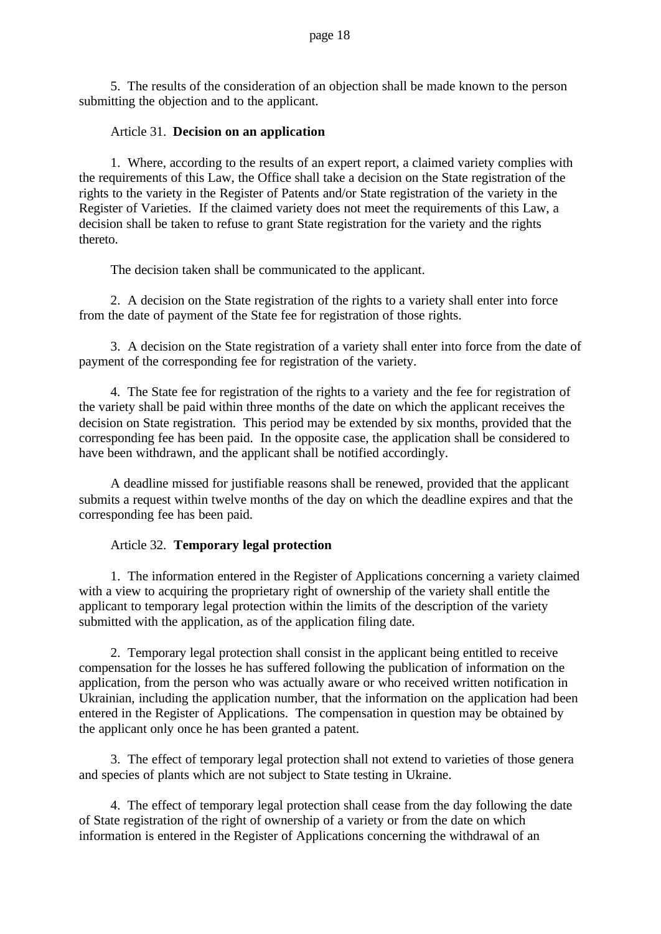5. The results of the consideration of an objection shall be made known to the person submitting the objection and to the applicant.

### Article 31. **Decision on an application**

1. Where, according to the results of an expert report, a claimed variety complies with the requirements of this Law, the Office shall take a decision on the State registration of the rights to the variety in the Register of Patents and/or State registration of the variety in the Register of Varieties. If the claimed variety does not meet the requirements of this Law, a decision shall be taken to refuse to grant State registration for the variety and the rights thereto.

The decision taken shall be communicated to the applicant.

2. A decision on the State registration of the rights to a variety shall enter into force from the date of payment of the State fee for registration of those rights.

3. A decision on the State registration of a variety shall enter into force from the date of payment of the corresponding fee for registration of the variety.

4. The State fee for registration of the rights to a variety and the fee for registration of the variety shall be paid within three months of the date on which the applicant receives the decision on State registration. This period may be extended by six months, provided that the corresponding fee has been paid. In the opposite case, the application shall be considered to have been withdrawn, and the applicant shall be notified accordingly.

A deadline missed for justifiable reasons shall be renewed, provided that the applicant submits a request within twelve months of the day on which the deadline expires and that the corresponding fee has been paid.

### Article 32. **Temporary legal protection**

1. The information entered in the Register of Applications concerning a variety claimed with a view to acquiring the proprietary right of ownership of the variety shall entitle the applicant to temporary legal protection within the limits of the description of the variety submitted with the application, as of the application filing date.

2. Temporary legal protection shall consist in the applicant being entitled to receive compensation for the losses he has suffered following the publication of information on the application, from the person who was actually aware or who received written notification in Ukrainian, including the application number, that the information on the application had been entered in the Register of Applications. The compensation in question may be obtained by the applicant only once he has been granted a patent.

3. The effect of temporary legal protection shall not extend to varieties of those genera and species of plants which are not subject to State testing in Ukraine.

4. The effect of temporary legal protection shall cease from the day following the date of State registration of the right of ownership of a variety or from the date on which information is entered in the Register of Applications concerning the withdrawal of an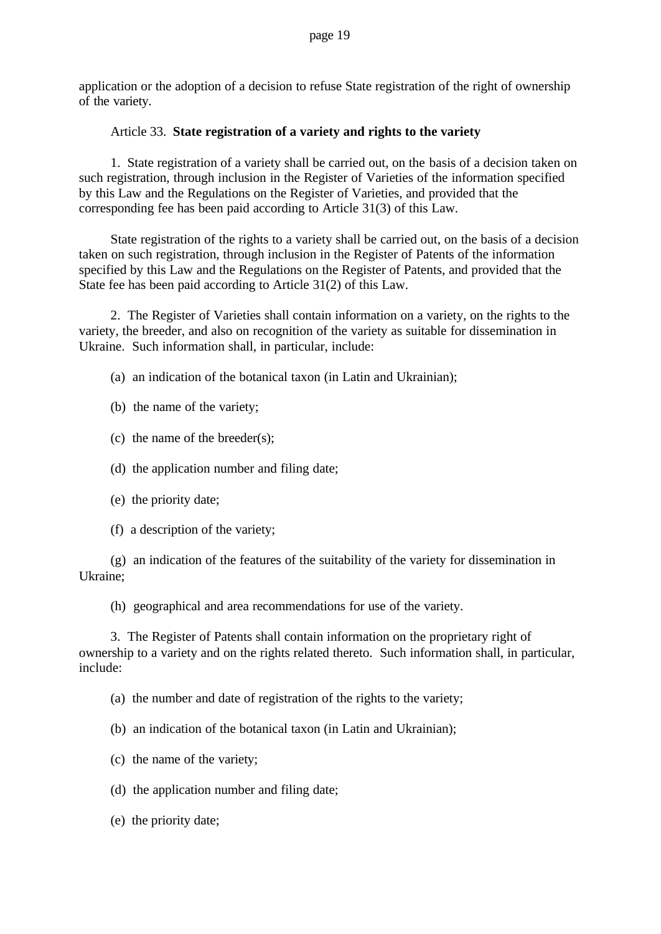application or the adoption of a decision to refuse State registration of the right of ownership of the variety.

### Article 33. **State registration of a variety and rights to the variety**

1. State registration of a variety shall be carried out, on the basis of a decision taken on such registration, through inclusion in the Register of Varieties of the information specified by this Law and the Regulations on the Register of Varieties, and provided that the corresponding fee has been paid according to Article 31(3) of this Law.

State registration of the rights to a variety shall be carried out, on the basis of a decision taken on such registration, through inclusion in the Register of Patents of the information specified by this Law and the Regulations on the Register of Patents, and provided that the State fee has been paid according to Article 31(2) of this Law.

2. The Register of Varieties shall contain information on a variety, on the rights to the variety, the breeder, and also on recognition of the variety as suitable for dissemination in Ukraine. Such information shall, in particular, include:

- (a) an indication of the botanical taxon (in Latin and Ukrainian);
- (b) the name of the variety;
- (c) the name of the breeder(s);
- (d) the application number and filing date;
- (e) the priority date;
- (f) a description of the variety;

(g) an indication of the features of the suitability of the variety for dissemination in Ukraine;

(h) geographical and area recommendations for use of the variety.

3. The Register of Patents shall contain information on the proprietary right of ownership to a variety and on the rights related thereto. Such information shall, in particular, include:

(a) the number and date of registration of the rights to the variety;

- (b) an indication of the botanical taxon (in Latin and Ukrainian);
- (c) the name of the variety;
- (d) the application number and filing date;
- (e) the priority date;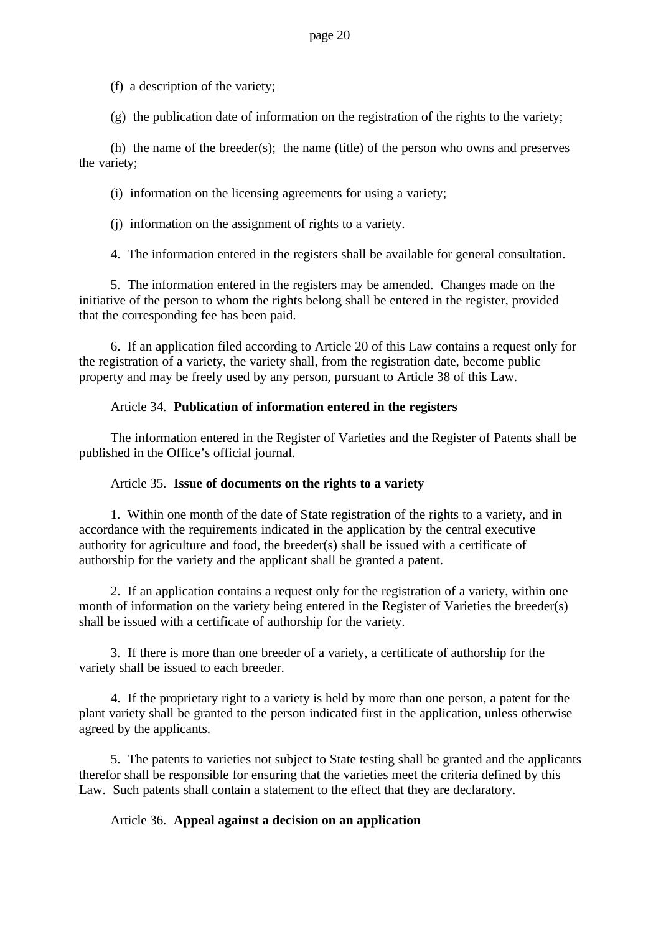(f) a description of the variety;

(g) the publication date of information on the registration of the rights to the variety;

(h) the name of the breeder(s); the name (title) of the person who owns and preserves the variety;

(i) information on the licensing agreements for using a variety;

(j) information on the assignment of rights to a variety.

4. The information entered in the registers shall be available for general consultation.

5. The information entered in the registers may be amended. Changes made on the initiative of the person to whom the rights belong shall be entered in the register, provided that the corresponding fee has been paid.

6. If an application filed according to Article 20 of this Law contains a request only for the registration of a variety, the variety shall, from the registration date, become public property and may be freely used by any person, pursuant to Article 38 of this Law.

# Article 34. **Publication of information entered in the registers**

The information entered in the Register of Varieties and the Register of Patents shall be published in the Office's official journal.

# Article 35. **Issue of documents on the rights to a variety**

1. Within one month of the date of State registration of the rights to a variety, and in accordance with the requirements indicated in the application by the central executive authority for agriculture and food, the breeder(s) shall be issued with a certificate of authorship for the variety and the applicant shall be granted a patent.

2. If an application contains a request only for the registration of a variety, within one month of information on the variety being entered in the Register of Varieties the breeder(s) shall be issued with a certificate of authorship for the variety.

3. If there is more than one breeder of a variety, a certificate of authorship for the variety shall be issued to each breeder.

4. If the proprietary right to a variety is held by more than one person, a patent for the plant variety shall be granted to the person indicated first in the application, unless otherwise agreed by the applicants.

5. The patents to varieties not subject to State testing shall be granted and the applicants therefor shall be responsible for ensuring that the varieties meet the criteria defined by this Law. Such patents shall contain a statement to the effect that they are declaratory.

# Article 36. **Appeal against a decision on an application**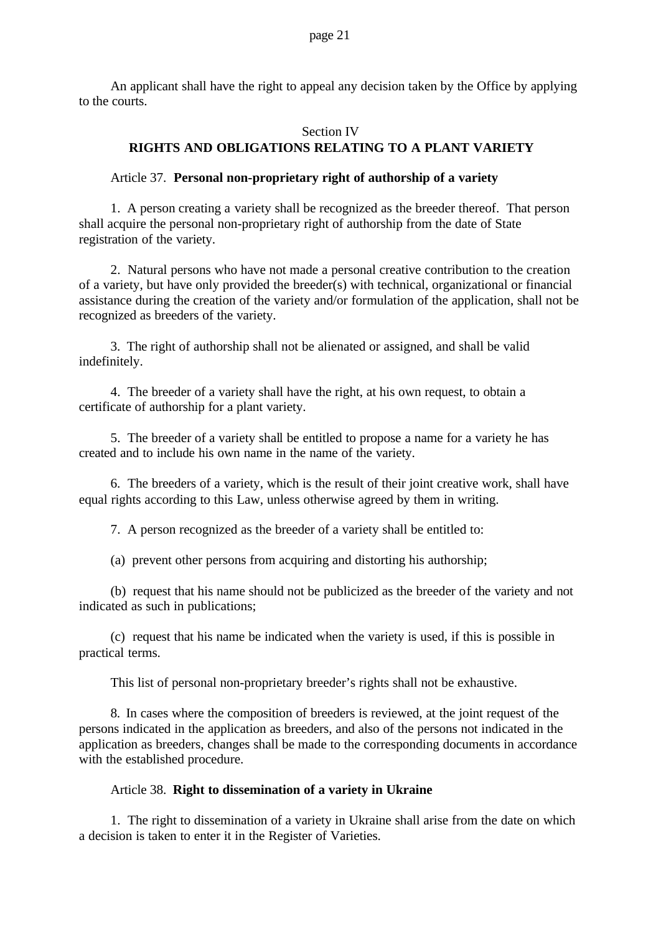An applicant shall have the right to appeal any decision taken by the Office by applying to the courts.

# Section IV **RIGHTS AND OBLIGATIONS RELATING TO A PLANT VARIETY**

### Article 37. **Personal non-proprietary right of authorship of a variety**

1. A person creating a variety shall be recognized as the breeder thereof. That person shall acquire the personal non-proprietary right of authorship from the date of State registration of the variety.

2. Natural persons who have not made a personal creative contribution to the creation of a variety, but have only provided the breeder(s) with technical, organizational or financial assistance during the creation of the variety and/or formulation of the application, shall not be recognized as breeders of the variety.

3. The right of authorship shall not be alienated or assigned, and shall be valid indefinitely.

4. The breeder of a variety shall have the right, at his own request, to obtain a certificate of authorship for a plant variety.

5. The breeder of a variety shall be entitled to propose a name for a variety he has created and to include his own name in the name of the variety.

6. The breeders of a variety, which is the result of their joint creative work, shall have equal rights according to this Law, unless otherwise agreed by them in writing.

7. A person recognized as the breeder of a variety shall be entitled to:

(a) prevent other persons from acquiring and distorting his authorship;

(b) request that his name should not be publicized as the breeder of the variety and not indicated as such in publications;

(c) request that his name be indicated when the variety is used, if this is possible in practical terms.

This list of personal non-proprietary breeder's rights shall not be exhaustive.

8. In cases where the composition of breeders is reviewed, at the joint request of the persons indicated in the application as breeders, and also of the persons not indicated in the application as breeders, changes shall be made to the corresponding documents in accordance with the established procedure.

### Article 38. **Right to dissemination of a variety in Ukraine**

1. The right to dissemination of a variety in Ukraine shall arise from the date on which a decision is taken to enter it in the Register of Varieties.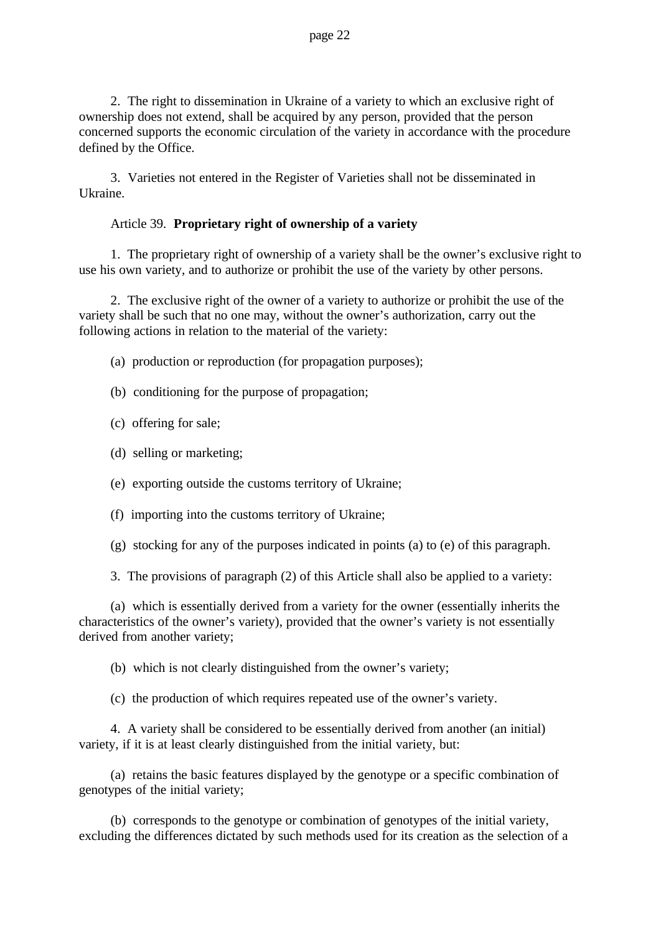2. The right to dissemination in Ukraine of a variety to which an exclusive right of ownership does not extend, shall be acquired by any person, provided that the person concerned supports the economic circulation of the variety in accordance with the procedure defined by the Office.

3. Varieties not entered in the Register of Varieties shall not be disseminated in Ukraine.

### Article 39. **Proprietary right of ownership of a variety**

1. The proprietary right of ownership of a variety shall be the owner's exclusive right to use his own variety, and to authorize or prohibit the use of the variety by other persons.

2. The exclusive right of the owner of a variety to authorize or prohibit the use of the variety shall be such that no one may, without the owner's authorization, carry out the following actions in relation to the material of the variety:

- (a) production or reproduction (for propagation purposes);
- (b) conditioning for the purpose of propagation;
- (c) offering for sale;
- (d) selling or marketing;
- (e) exporting outside the customs territory of Ukraine;
- (f) importing into the customs territory of Ukraine;
- (g) stocking for any of the purposes indicated in points (a) to (e) of this paragraph.
- 3. The provisions of paragraph (2) of this Article shall also be applied to a variety:

(a) which is essentially derived from a variety for the owner (essentially inherits the characteristics of the owner's variety), provided that the owner's variety is not essentially derived from another variety;

(b) which is not clearly distinguished from the owner's variety;

(c) the production of which requires repeated use of the owner's variety.

4. A variety shall be considered to be essentially derived from another (an initial) variety, if it is at least clearly distinguished from the initial variety, but:

(a) retains the basic features displayed by the genotype or a specific combination of genotypes of the initial variety;

(b) corresponds to the genotype or combination of genotypes of the initial variety, excluding the differences dictated by such methods used for its creation as the selection of a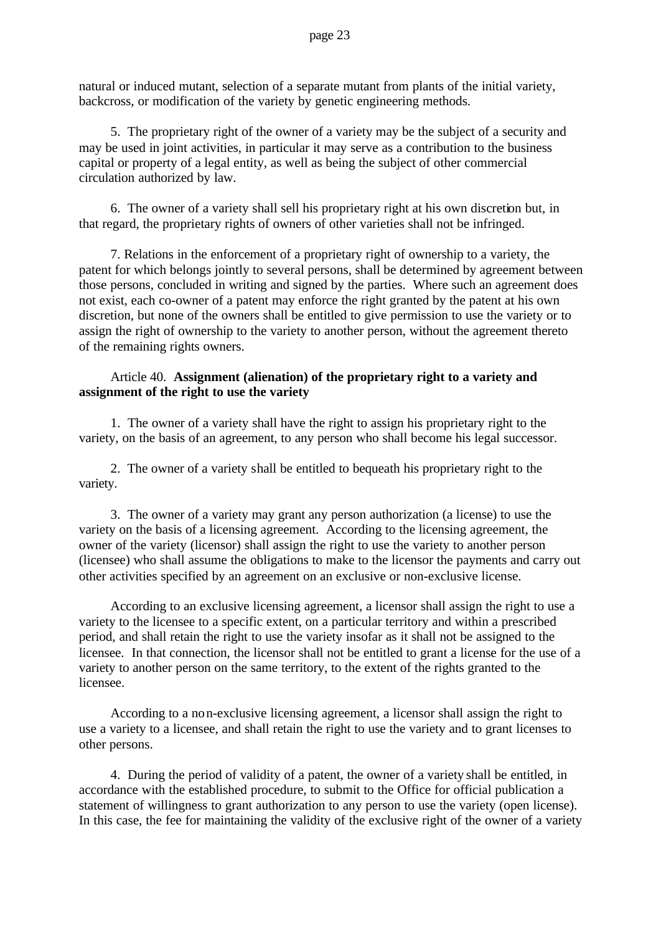natural or induced mutant, selection of a separate mutant from plants of the initial variety, backcross, or modification of the variety by genetic engineering methods.

5. The proprietary right of the owner of a variety may be the subject of a security and may be used in joint activities, in particular it may serve as a contribution to the business capital or property of a legal entity, as well as being the subject of other commercial circulation authorized by law.

6. The owner of a variety shall sell his proprietary right at his own discretion but, in that regard, the proprietary rights of owners of other varieties shall not be infringed.

7. Relations in the enforcement of a proprietary right of ownership to a variety, the patent for which belongs jointly to several persons, shall be determined by agreement between those persons, concluded in writing and signed by the parties. Where such an agreement does not exist, each co-owner of a patent may enforce the right granted by the patent at his own discretion, but none of the owners shall be entitled to give permission to use the variety or to assign the right of ownership to the variety to another person, without the agreement thereto of the remaining rights owners.

### Article 40. **Assignment (alienation) of the proprietary right to a variety and assignment of the right to use the variety**

1. The owner of a variety shall have the right to assign his proprietary right to the variety, on the basis of an agreement, to any person who shall become his legal successor.

2. The owner of a variety shall be entitled to bequeath his proprietary right to the variety.

3. The owner of a variety may grant any person authorization (a license) to use the variety on the basis of a licensing agreement. According to the licensing agreement, the owner of the variety (licensor) shall assign the right to use the variety to another person (licensee) who shall assume the obligations to make to the licensor the payments and carry out other activities specified by an agreement on an exclusive or non-exclusive license.

According to an exclusive licensing agreement, a licensor shall assign the right to use a variety to the licensee to a specific extent, on a particular territory and within a prescribed period, and shall retain the right to use the variety insofar as it shall not be assigned to the licensee. In that connection, the licensor shall not be entitled to grant a license for the use of a variety to another person on the same territory, to the extent of the rights granted to the licensee.

According to a non-exclusive licensing agreement, a licensor shall assign the right to use a variety to a licensee, and shall retain the right to use the variety and to grant licenses to other persons.

4. During the period of validity of a patent, the owner of a variety shall be entitled, in accordance with the established procedure, to submit to the Office for official publication a statement of willingness to grant authorization to any person to use the variety (open license). In this case, the fee for maintaining the validity of the exclusive right of the owner of a variety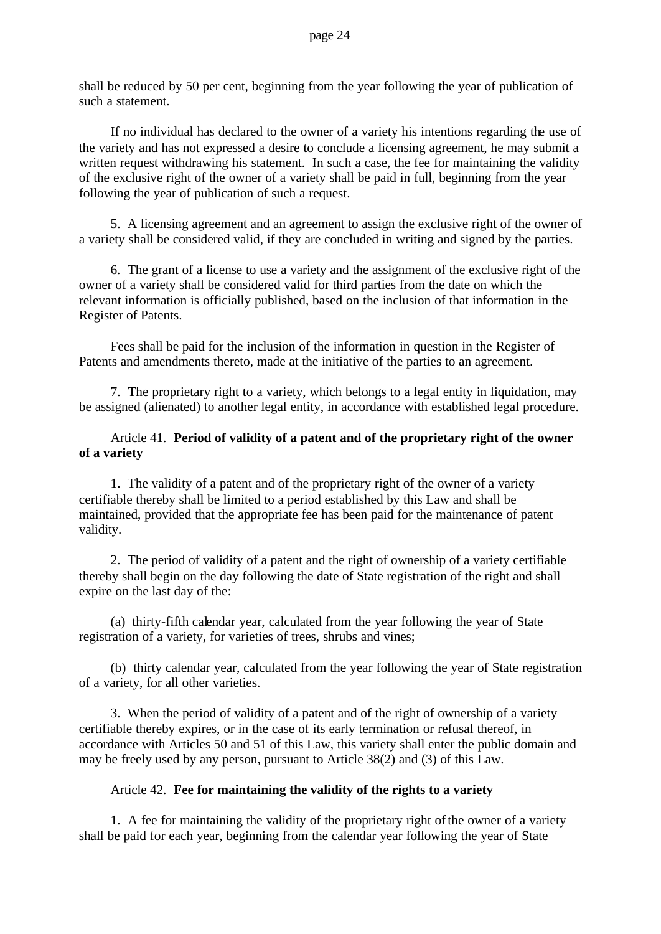shall be reduced by 50 per cent, beginning from the year following the year of publication of such a statement.

If no individual has declared to the owner of a variety his intentions regarding the use of the variety and has not expressed a desire to conclude a licensing agreement, he may submit a written request withdrawing his statement. In such a case, the fee for maintaining the validity of the exclusive right of the owner of a variety shall be paid in full, beginning from the year following the year of publication of such a request.

5. A licensing agreement and an agreement to assign the exclusive right of the owner of a variety shall be considered valid, if they are concluded in writing and signed by the parties.

6. The grant of a license to use a variety and the assignment of the exclusive right of the owner of a variety shall be considered valid for third parties from the date on which the relevant information is officially published, based on the inclusion of that information in the Register of Patents.

Fees shall be paid for the inclusion of the information in question in the Register of Patents and amendments thereto, made at the initiative of the parties to an agreement.

7. The proprietary right to a variety, which belongs to a legal entity in liquidation, may be assigned (alienated) to another legal entity, in accordance with established legal procedure.

### Article 41. **Period of validity of a patent and of the proprietary right of the owner of a variety**

1. The validity of a patent and of the proprietary right of the owner of a variety certifiable thereby shall be limited to a period established by this Law and shall be maintained, provided that the appropriate fee has been paid for the maintenance of patent validity.

2. The period of validity of a patent and the right of ownership of a variety certifiable thereby shall begin on the day following the date of State registration of the right and shall expire on the last day of the:

(a) thirty-fifth calendar year, calculated from the year following the year of State registration of a variety, for varieties of trees, shrubs and vines;

(b) thirty calendar year, calculated from the year following the year of State registration of a variety, for all other varieties.

3. When the period of validity of a patent and of the right of ownership of a variety certifiable thereby expires, or in the case of its early termination or refusal thereof, in accordance with Articles 50 and 51 of this Law, this variety shall enter the public domain and may be freely used by any person, pursuant to Article 38(2) and (3) of this Law.

### Article 42. **Fee for maintaining the validity of the rights to a variety**

1. A fee for maintaining the validity of the proprietary right of the owner of a variety shall be paid for each year, beginning from the calendar year following the year of State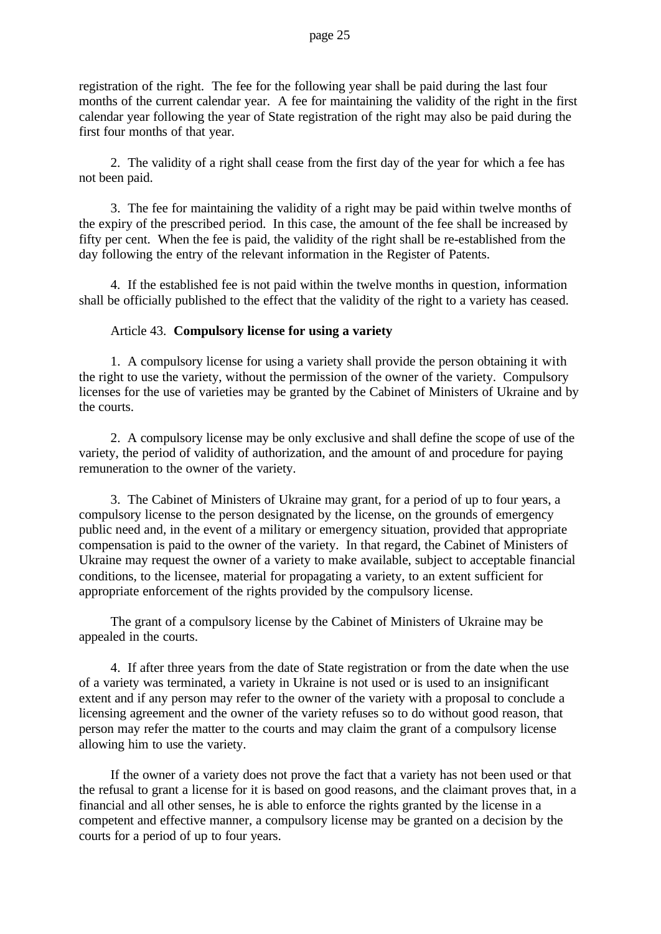registration of the right. The fee for the following year shall be paid during the last four months of the current calendar year. A fee for maintaining the validity of the right in the first calendar year following the year of State registration of the right may also be paid during the first four months of that year.

2. The validity of a right shall cease from the first day of the year for which a fee has not been paid.

3. The fee for maintaining the validity of a right may be paid within twelve months of the expiry of the prescribed period. In this case, the amount of the fee shall be increased by fifty per cent. When the fee is paid, the validity of the right shall be re-established from the day following the entry of the relevant information in the Register of Patents.

4. If the established fee is not paid within the twelve months in question, information shall be officially published to the effect that the validity of the right to a variety has ceased.

### Article 43. **Compulsory license for using a variety**

1. A compulsory license for using a variety shall provide the person obtaining it with the right to use the variety, without the permission of the owner of the variety. Compulsory licenses for the use of varieties may be granted by the Cabinet of Ministers of Ukraine and by the courts.

2. A compulsory license may be only exclusive and shall define the scope of use of the variety, the period of validity of authorization, and the amount of and procedure for paying remuneration to the owner of the variety.

3. The Cabinet of Ministers of Ukraine may grant, for a period of up to four years, a compulsory license to the person designated by the license, on the grounds of emergency public need and, in the event of a military or emergency situation, provided that appropriate compensation is paid to the owner of the variety. In that regard, the Cabinet of Ministers of Ukraine may request the owner of a variety to make available, subject to acceptable financial conditions, to the licensee, material for propagating a variety, to an extent sufficient for appropriate enforcement of the rights provided by the compulsory license.

The grant of a compulsory license by the Cabinet of Ministers of Ukraine may be appealed in the courts.

4. If after three years from the date of State registration or from the date when the use of a variety was terminated, a variety in Ukraine is not used or is used to an insignificant extent and if any person may refer to the owner of the variety with a proposal to conclude a licensing agreement and the owner of the variety refuses so to do without good reason, that person may refer the matter to the courts and may claim the grant of a compulsory license allowing him to use the variety.

If the owner of a variety does not prove the fact that a variety has not been used or that the refusal to grant a license for it is based on good reasons, and the claimant proves that, in a financial and all other senses, he is able to enforce the rights granted by the license in a competent and effective manner, a compulsory license may be granted on a decision by the courts for a period of up to four years.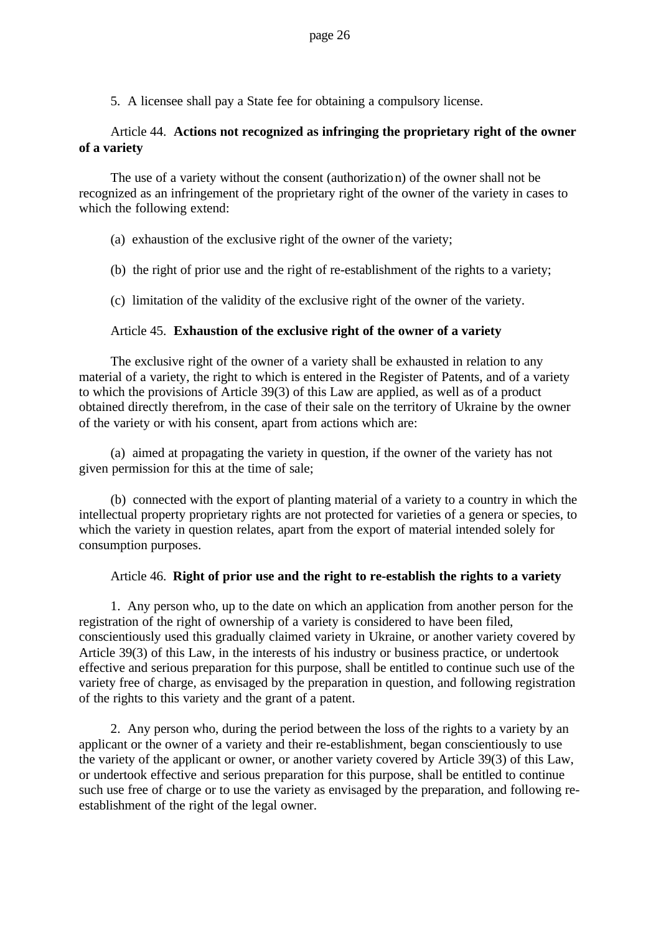5. A licensee shall pay a State fee for obtaining a compulsory license.

# Article 44. **Actions not recognized as infringing the proprietary right of the owner of a variety**

The use of a variety without the consent (authorization) of the owner shall not be recognized as an infringement of the proprietary right of the owner of the variety in cases to which the following extend:

- (a) exhaustion of the exclusive right of the owner of the variety;
- (b) the right of prior use and the right of re-establishment of the rights to a variety;
- (c) limitation of the validity of the exclusive right of the owner of the variety.

# Article 45. **Exhaustion of the exclusive right of the owner of a variety**

The exclusive right of the owner of a variety shall be exhausted in relation to any material of a variety, the right to which is entered in the Register of Patents, and of a variety to which the provisions of Article 39(3) of this Law are applied, as well as of a product obtained directly therefrom, in the case of their sale on the territory of Ukraine by the owner of the variety or with his consent, apart from actions which are:

(a) aimed at propagating the variety in question, if the owner of the variety has not given permission for this at the time of sale;

(b) connected with the export of planting material of a variety to a country in which the intellectual property proprietary rights are not protected for varieties of a genera or species, to which the variety in question relates, apart from the export of material intended solely for consumption purposes.

### Article 46. **Right of prior use and the right to re-establish the rights to a variety**

1. Any person who, up to the date on which an application from another person for the registration of the right of ownership of a variety is considered to have been filed, conscientiously used this gradually claimed variety in Ukraine, or another variety covered by Article 39(3) of this Law, in the interests of his industry or business practice, or undertook effective and serious preparation for this purpose, shall be entitled to continue such use of the variety free of charge, as envisaged by the preparation in question, and following registration of the rights to this variety and the grant of a patent.

2. Any person who, during the period between the loss of the rights to a variety by an applicant or the owner of a variety and their re-establishment, began conscientiously to use the variety of the applicant or owner, or another variety covered by Article 39(3) of this Law, or undertook effective and serious preparation for this purpose, shall be entitled to continue such use free of charge or to use the variety as envisaged by the preparation, and following reestablishment of the right of the legal owner.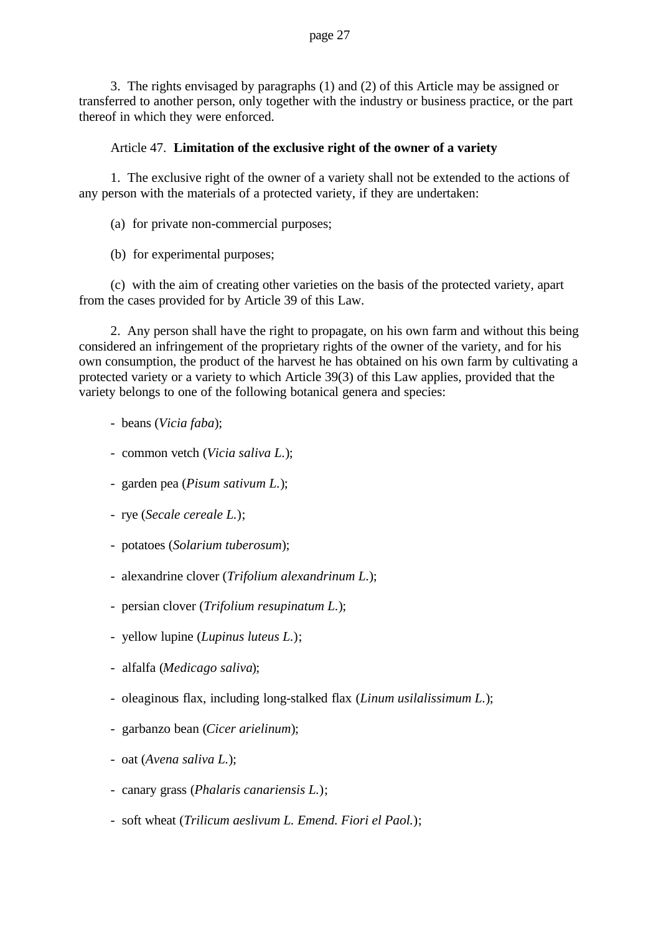3. The rights envisaged by paragraphs (1) and (2) of this Article may be assigned or transferred to another person, only together with the industry or business practice, or the part thereof in which they were enforced.

### Article 47. **Limitation of the exclusive right of the owner of a variety**

1. The exclusive right of the owner of a variety shall not be extended to the actions of any person with the materials of a protected variety, if they are undertaken:

- (a) for private non-commercial purposes;
- (b) for experimental purposes;

(c) with the aim of creating other varieties on the basis of the protected variety, apart from the cases provided for by Article 39 of this Law.

2. Any person shall have the right to propagate, on his own farm and without this being considered an infringement of the proprietary rights of the owner of the variety, and for his own consumption, the product of the harvest he has obtained on his own farm by cultivating a protected variety or a variety to which Article 39(3) of this Law applies, provided that the variety belongs to one of the following botanical genera and species:

- beans (*Vicia faba*);
- common vetch (*Vicia saliva L.*);
- garden pea (*Pisum sativum L.*);
- rye (*Secale cereale L.*);
- potatoes (*Solarium tuberosum*);
- alexandrine clover (*Trifolium alexandrinum L.*);
- persian clover (*Trifolium resupinatum L.*);
- yellow lupine (*Lupinus luteus L.*);
- alfalfa (*Medicago saliva*);
- oleaginous flax, including long-stalked flax (*Linum usilalissimum L.*);
- garbanzo bean (*Cicer arielinum*);
- oat (*Avena saliva L.*);
- canary grass (*Phalaris canariensis L.*);
- soft wheat (*Trilicum aeslivum L. Emend. Fiori el Paol.*);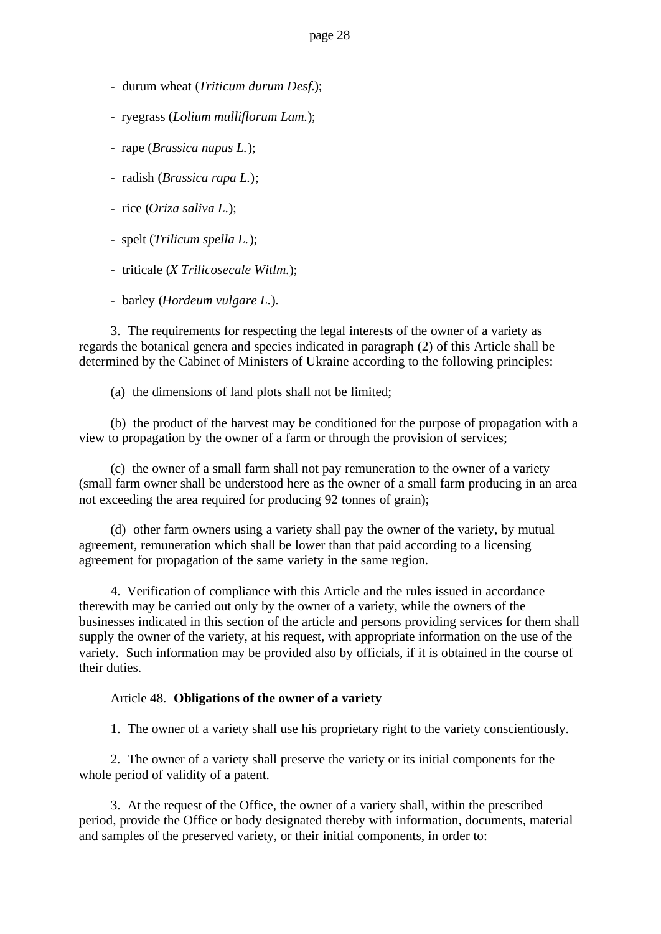- durum wheat (*Triticum durum Desf.*);
- ryegrass (*Lolium mulliflorum Lam.*);
- rape (*Brassica napus L.*);
- radish (*Brassica rapa L.*);
- rice (*Oriza saliva L.*);
- spelt (*Trilicum spella L.*);
- triticale (*X Trilicosecale Witlm.*);
- barley (*Hordeum vulgare L.*).

3. The requirements for respecting the legal interests of the owner of a variety as regards the botanical genera and species indicated in paragraph (2) of this Article shall be determined by the Cabinet of Ministers of Ukraine according to the following principles:

(a) the dimensions of land plots shall not be limited;

(b) the product of the harvest may be conditioned for the purpose of propagation with a view to propagation by the owner of a farm or through the provision of services;

(c) the owner of a small farm shall not pay remuneration to the owner of a variety (small farm owner shall be understood here as the owner of a small farm producing in an area not exceeding the area required for producing 92 tonnes of grain);

(d) other farm owners using a variety shall pay the owner of the variety, by mutual agreement, remuneration which shall be lower than that paid according to a licensing agreement for propagation of the same variety in the same region.

4. Verification of compliance with this Article and the rules issued in accordance therewith may be carried out only by the owner of a variety, while the owners of the businesses indicated in this section of the article and persons providing services for them shall supply the owner of the variety, at his request, with appropriate information on the use of the variety. Such information may be provided also by officials, if it is obtained in the course of their duties.

### Article 48. **Obligations of the owner of a variety**

1. The owner of a variety shall use his proprietary right to the variety conscientiously.

2. The owner of a variety shall preserve the variety or its initial components for the whole period of validity of a patent.

3. At the request of the Office, the owner of a variety shall, within the prescribed period, provide the Office or body designated thereby with information, documents, material and samples of the preserved variety, or their initial components, in order to: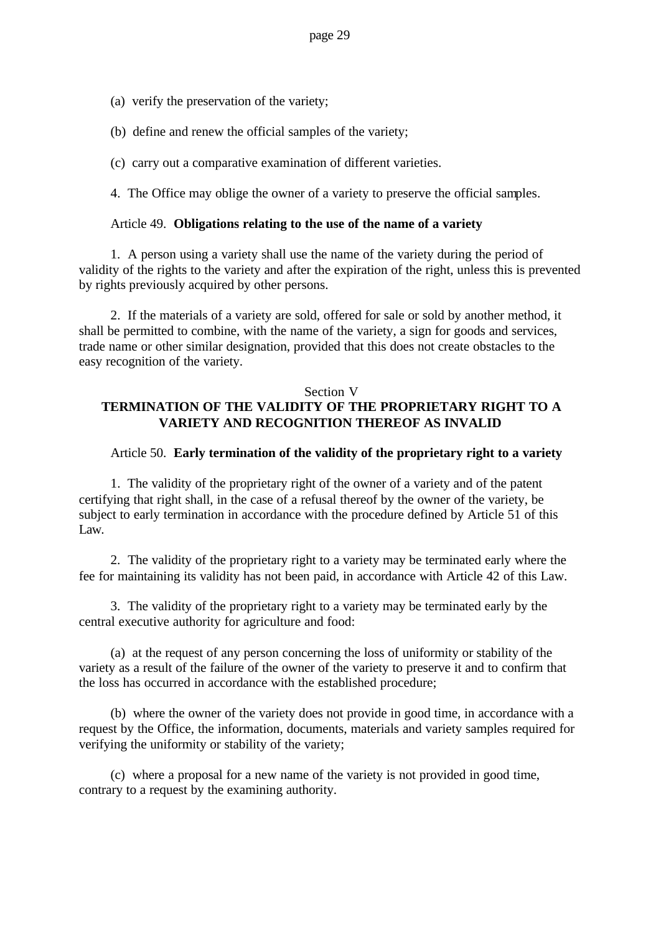- (a) verify the preservation of the variety;
- (b) define and renew the official samples of the variety;
- (c) carry out a comparative examination of different varieties.

4. The Office may oblige the owner of a variety to preserve the official samples.

### Article 49. **Obligations relating to the use of the name of a variety**

1. A person using a variety shall use the name of the variety during the period of validity of the rights to the variety and after the expiration of the right, unless this is prevented by rights previously acquired by other persons.

2. If the materials of a variety are sold, offered for sale or sold by another method, it shall be permitted to combine, with the name of the variety, a sign for goods and services, trade name or other similar designation, provided that this does not create obstacles to the easy recognition of the variety.

# Section V **TERMINATION OF THE VALIDITY OF THE PROPRIETARY RIGHT TO A VARIETY AND RECOGNITION THEREOF AS INVALID**

### Article 50. **Early termination of the validity of the proprietary right to a variety**

1. The validity of the proprietary right of the owner of a variety and of the patent certifying that right shall, in the case of a refusal thereof by the owner of the variety, be subject to early termination in accordance with the procedure defined by Article 51 of this Law.

2. The validity of the proprietary right to a variety may be terminated early where the fee for maintaining its validity has not been paid, in accordance with Article 42 of this Law.

3. The validity of the proprietary right to a variety may be terminated early by the central executive authority for agriculture and food:

(a) at the request of any person concerning the loss of uniformity or stability of the variety as a result of the failure of the owner of the variety to preserve it and to confirm that the loss has occurred in accordance with the established procedure;

(b) where the owner of the variety does not provide in good time, in accordance with a request by the Office, the information, documents, materials and variety samples required for verifying the uniformity or stability of the variety;

(c) where a proposal for a new name of the variety is not provided in good time, contrary to a request by the examining authority.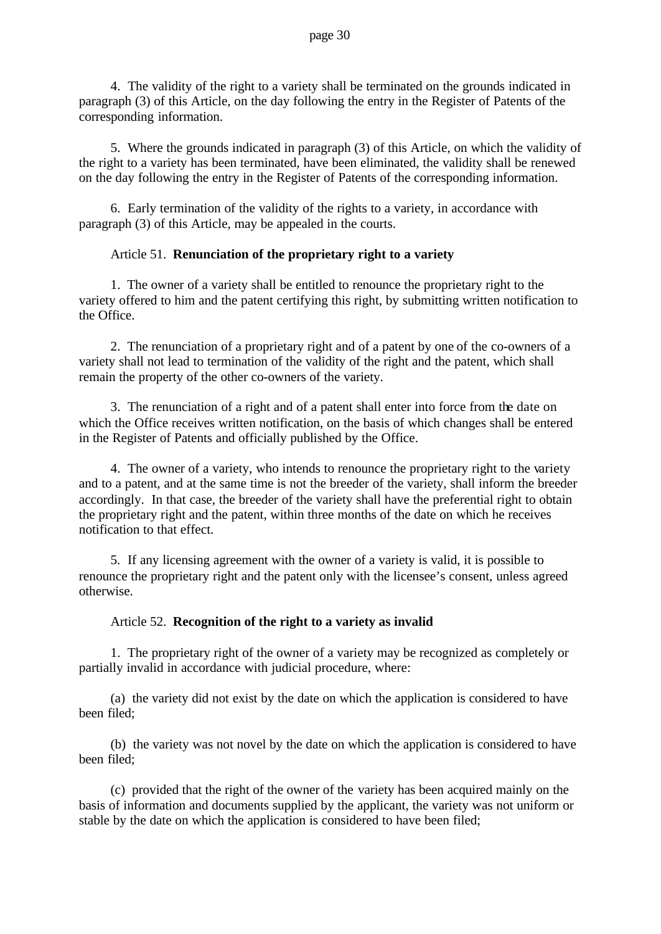4. The validity of the right to a variety shall be terminated on the grounds indicated in paragraph (3) of this Article, on the day following the entry in the Register of Patents of the corresponding information.

5. Where the grounds indicated in paragraph (3) of this Article, on which the validity of the right to a variety has been terminated, have been eliminated, the validity shall be renewed on the day following the entry in the Register of Patents of the corresponding information.

6. Early termination of the validity of the rights to a variety, in accordance with paragraph (3) of this Article, may be appealed in the courts.

# Article 51. **Renunciation of the proprietary right to a variety**

1. The owner of a variety shall be entitled to renounce the proprietary right to the variety offered to him and the patent certifying this right, by submitting written notification to the Office.

2. The renunciation of a proprietary right and of a patent by one of the co-owners of a variety shall not lead to termination of the validity of the right and the patent, which shall remain the property of the other co-owners of the variety.

3. The renunciation of a right and of a patent shall enter into force from the date on which the Office receives written notification, on the basis of which changes shall be entered in the Register of Patents and officially published by the Office.

4. The owner of a variety, who intends to renounce the proprietary right to the variety and to a patent, and at the same time is not the breeder of the variety, shall inform the breeder accordingly. In that case, the breeder of the variety shall have the preferential right to obtain the proprietary right and the patent, within three months of the date on which he receives notification to that effect.

5. If any licensing agreement with the owner of a variety is valid, it is possible to renounce the proprietary right and the patent only with the licensee's consent, unless agreed otherwise.

### Article 52. **Recognition of the right to a variety as invalid**

1. The proprietary right of the owner of a variety may be recognized as completely or partially invalid in accordance with judicial procedure, where:

(a) the variety did not exist by the date on which the application is considered to have been filed;

(b) the variety was not novel by the date on which the application is considered to have been filed;

(c) provided that the right of the owner of the variety has been acquired mainly on the basis of information and documents supplied by the applicant, the variety was not uniform or stable by the date on which the application is considered to have been filed;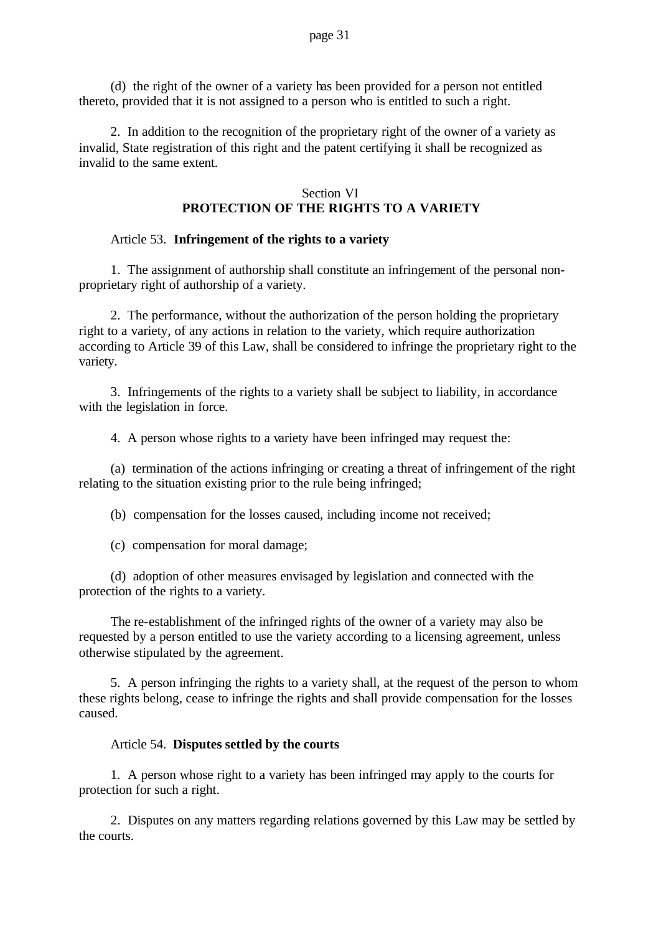(d) the right of the owner of a variety has been provided for a person not entitled thereto, provided that it is not assigned to a person who is entitled to such a right.

2. In addition to the recognition of the proprietary right of the owner of a variety as invalid, State registration of this right and the patent certifying it shall be recognized as invalid to the same extent.

### Section VI **PROTECTION OF THE RIGHTS TO A VARIETY**

### Article 53. **Infringement of the rights to a variety**

1. The assignment of authorship shall constitute an infringement of the personal nonproprietary right of authorship of a variety.

2. The performance, without the authorization of the person holding the proprietary right to a variety, of any actions in relation to the variety, which require authorization according to Article 39 of this Law, shall be considered to infringe the proprietary right to the variety.

3. Infringements of the rights to a variety shall be subject to liability, in accordance with the legislation in force.

4. A person whose rights to a variety have been infringed may request the:

(a) termination of the actions infringing or creating a threat of infringement of the right relating to the situation existing prior to the rule being infringed;

(b) compensation for the losses caused, including income not received;

(c) compensation for moral damage;

(d) adoption of other measures envisaged by legislation and connected with the protection of the rights to a variety.

The re-establishment of the infringed rights of the owner of a variety may also be requested by a person entitled to use the variety according to a licensing agreement, unless otherwise stipulated by the agreement.

5. A person infringing the rights to a variety shall, at the request of the person to whom these rights belong, cease to infringe the rights and shall provide compensation for the losses caused.

### Article 54. **Disputes settled by the courts**

1. A person whose right to a variety has been infringed may apply to the courts for protection for such a right.

2. Disputes on any matters regarding relations governed by this Law may be settled by the courts.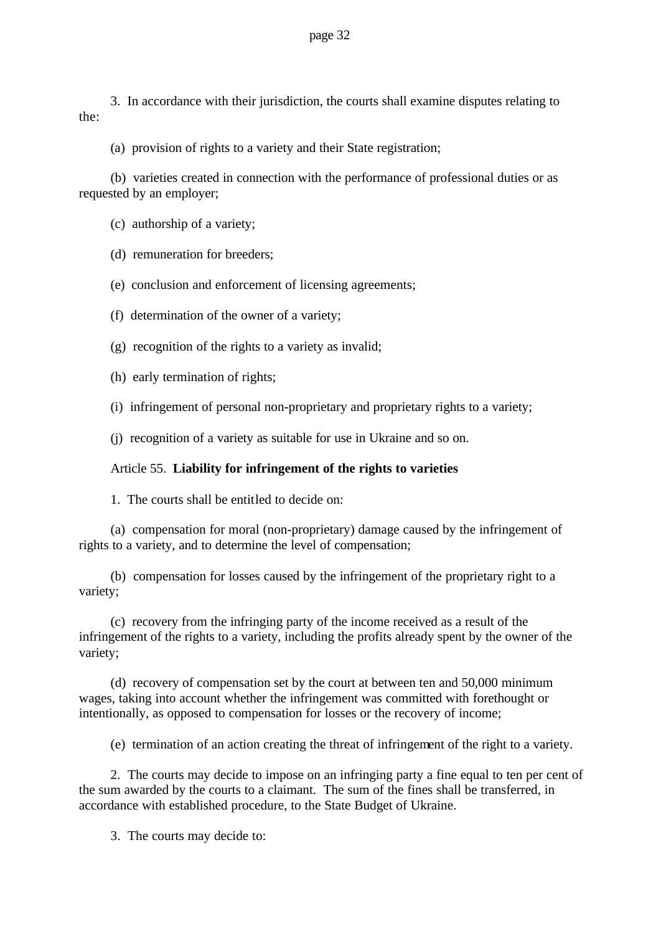3. In accordance with their jurisdiction, the courts shall examine disputes relating to the:

(a) provision of rights to a variety and their State registration;

(b) varieties created in connection with the performance of professional duties or as requested by an employer;

(c) authorship of a variety;

(d) remuneration for breeders;

(e) conclusion and enforcement of licensing agreements;

(f) determination of the owner of a variety;

(g) recognition of the rights to a variety as invalid;

(h) early termination of rights;

(i) infringement of personal non-proprietary and proprietary rights to a variety;

(j) recognition of a variety as suitable for use in Ukraine and so on.

### Article 55. **Liability for infringement of the rights to varieties**

1. The courts shall be entitled to decide on:

(a) compensation for moral (non-proprietary) damage caused by the infringement of rights to a variety, and to determine the level of compensation;

(b) compensation for losses caused by the infringement of the proprietary right to a variety;

(c) recovery from the infringing party of the income received as a result of the infringement of the rights to a variety, including the profits already spent by the owner of the variety;

(d) recovery of compensation set by the court at between ten and 50,000 minimum wages, taking into account whether the infringement was committed with forethought or intentionally, as opposed to compensation for losses or the recovery of income;

(e) termination of an action creating the threat of infringement of the right to a variety.

2. The courts may decide to impose on an infringing party a fine equal to ten per cent of the sum awarded by the courts to a claimant. The sum of the fines shall be transferred, in accordance with established procedure, to the State Budget of Ukraine.

3. The courts may decide to: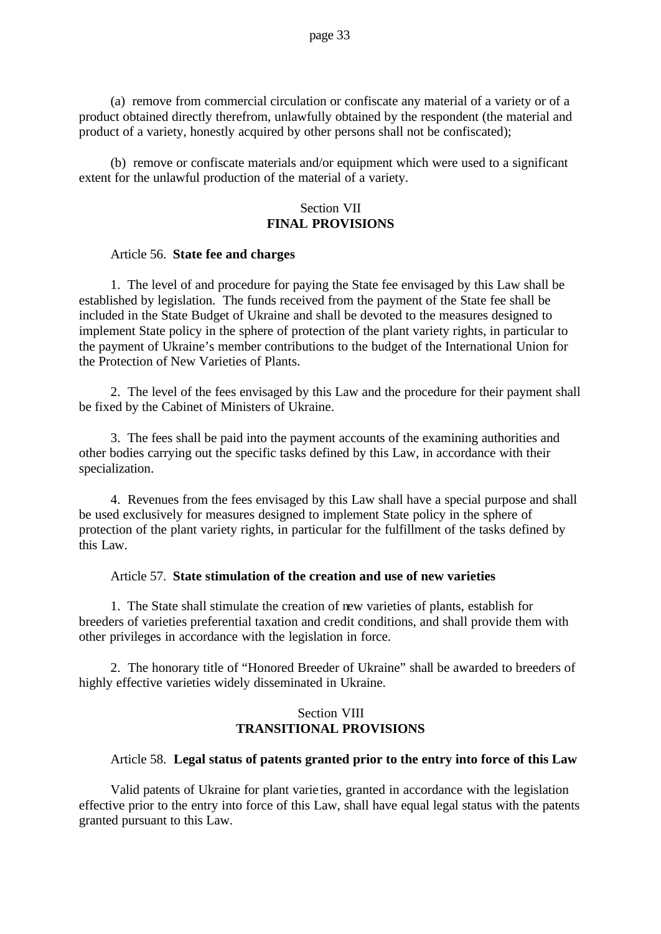(a) remove from commercial circulation or confiscate any material of a variety or of a product obtained directly therefrom, unlawfully obtained by the respondent (the material and product of a variety, honestly acquired by other persons shall not be confiscated);

(b) remove or confiscate materials and/or equipment which were used to a significant extent for the unlawful production of the material of a variety.

### Section VII **FINAL PROVISIONS**

### Article 56. **State fee and charges**

1. The level of and procedure for paying the State fee envisaged by this Law shall be established by legislation. The funds received from the payment of the State fee shall be included in the State Budget of Ukraine and shall be devoted to the measures designed to implement State policy in the sphere of protection of the plant variety rights, in particular to the payment of Ukraine's member contributions to the budget of the International Union for the Protection of New Varieties of Plants.

2. The level of the fees envisaged by this Law and the procedure for their payment shall be fixed by the Cabinet of Ministers of Ukraine.

3. The fees shall be paid into the payment accounts of the examining authorities and other bodies carrying out the specific tasks defined by this Law, in accordance with their specialization.

4. Revenues from the fees envisaged by this Law shall have a special purpose and shall be used exclusively for measures designed to implement State policy in the sphere of protection of the plant variety rights, in particular for the fulfillment of the tasks defined by this Law.

### Article 57. **State stimulation of the creation and use of new varieties**

1. The State shall stimulate the creation of new varieties of plants, establish for breeders of varieties preferential taxation and credit conditions, and shall provide them with other privileges in accordance with the legislation in force.

2. The honorary title of "Honored Breeder of Ukraine" shall be awarded to breeders of highly effective varieties widely disseminated in Ukraine.

# Section VIII **TRANSITIONAL PROVISIONS**

### Article 58. **Legal status of patents granted prior to the entry into force of this Law**

Valid patents of Ukraine for plant varie ties, granted in accordance with the legislation effective prior to the entry into force of this Law, shall have equal legal status with the patents granted pursuant to this Law.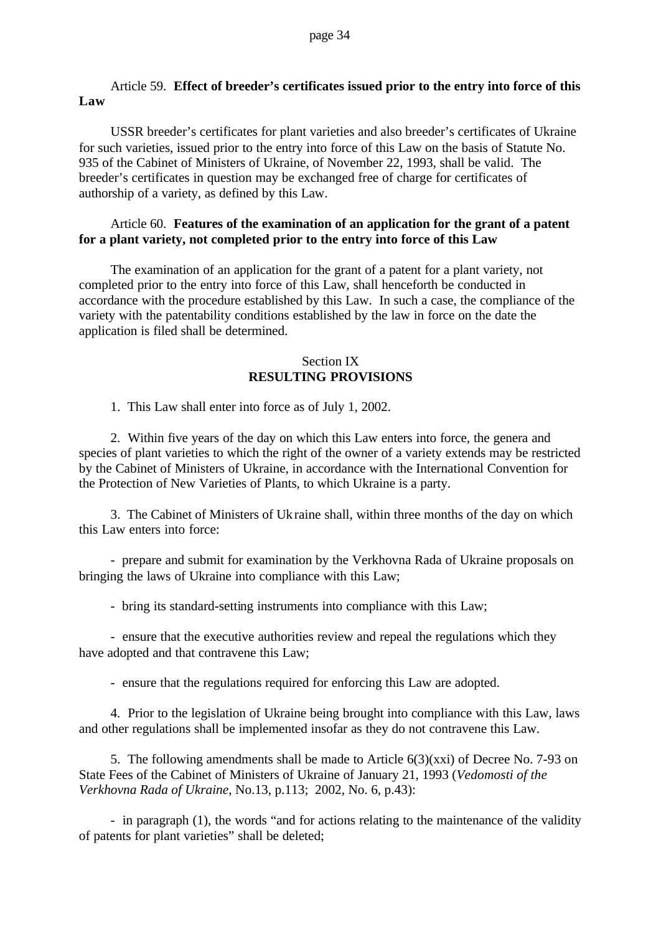### Article 59. **Effect of breeder's certificates issued prior to the entry into force of this Law**

USSR breeder's certificates for plant varieties and also breeder's certificates of Ukraine for such varieties, issued prior to the entry into force of this Law on the basis of Statute No. 935 of the Cabinet of Ministers of Ukraine, of November 22, 1993, shall be valid. The breeder's certificates in question may be exchanged free of charge for certificates of authorship of a variety, as defined by this Law.

### Article 60. **Features of the examination of an application for the grant of a patent for a plant variety, not completed prior to the entry into force of this Law**

The examination of an application for the grant of a patent for a plant variety, not completed prior to the entry into force of this Law, shall henceforth be conducted in accordance with the procedure established by this Law. In such a case, the compliance of the variety with the patentability conditions established by the law in force on the date the application is filed shall be determined.

# Section IX **RESULTING PROVISIONS**

1. This Law shall enter into force as of July 1, 2002.

2. Within five years of the day on which this Law enters into force, the genera and species of plant varieties to which the right of the owner of a variety extends may be restricted by the Cabinet of Ministers of Ukraine, in accordance with the International Convention for the Protection of New Varieties of Plants, to which Ukraine is a party.

3. The Cabinet of Ministers of Ukraine shall, within three months of the day on which this Law enters into force:

- prepare and submit for examination by the Verkhovna Rada of Ukraine proposals on bringing the laws of Ukraine into compliance with this Law;

- bring its standard-setting instruments into compliance with this Law;

- ensure that the executive authorities review and repeal the regulations which they have adopted and that contravene this Law;

- ensure that the regulations required for enforcing this Law are adopted.

4. Prior to the legislation of Ukraine being brought into compliance with this Law, laws and other regulations shall be implemented insofar as they do not contravene this Law.

5. The following amendments shall be made to Article 6(3)(xxi) of Decree No. 7-93 on State Fees of the Cabinet of Ministers of Ukraine of January 21, 1993 (*Vedomosti of the Verkhovna Rada of Ukraine*, No.13, p.113; 2002, No. 6, p.43):

- in paragraph (1), the words "and for actions relating to the maintenance of the validity of patents for plant varieties" shall be deleted;